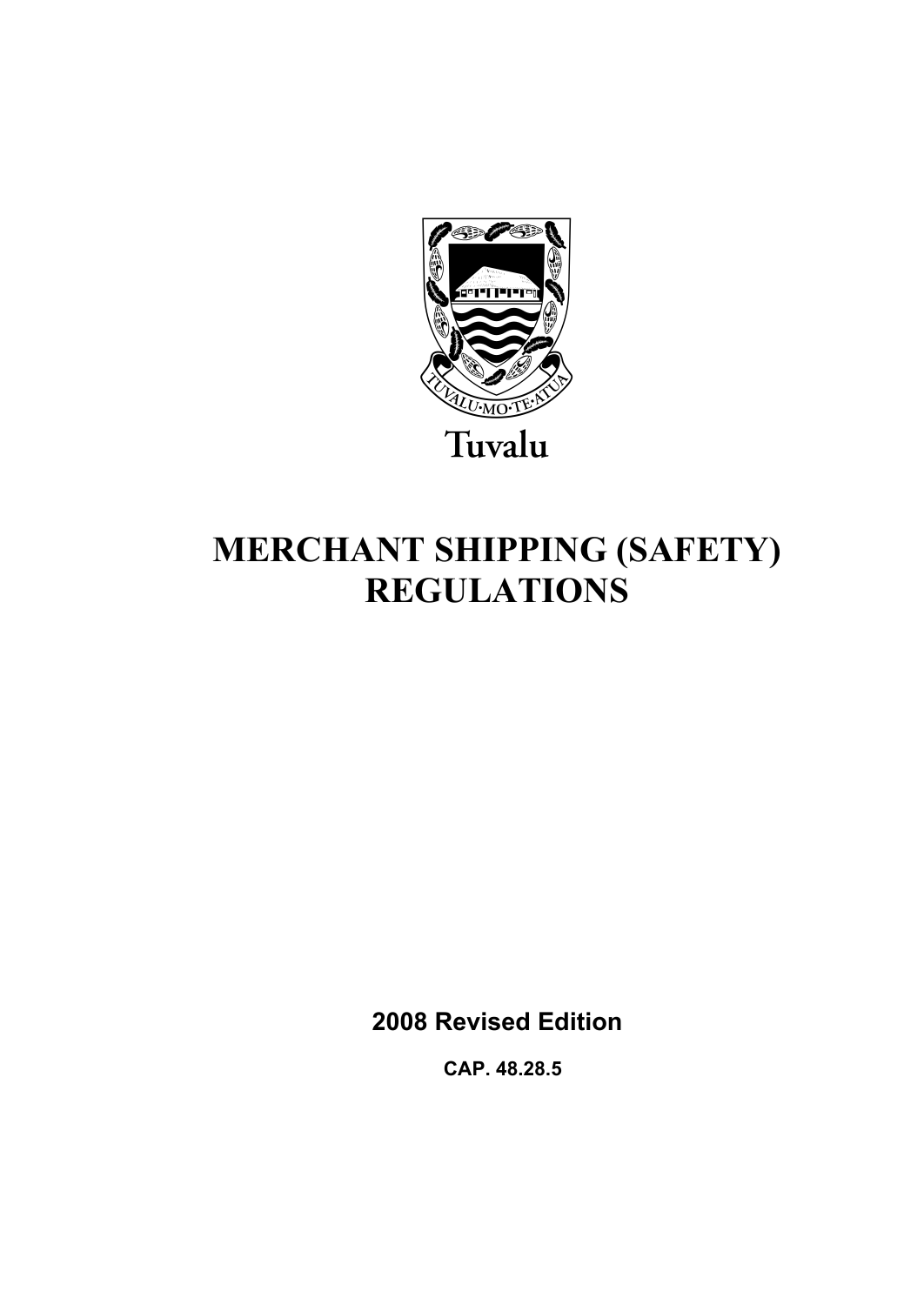

# **MERCHANT SHIPPING (SAFETY) REGULATIONS**

**2008 Revised Edition** 

 **CAP. 48.28.5**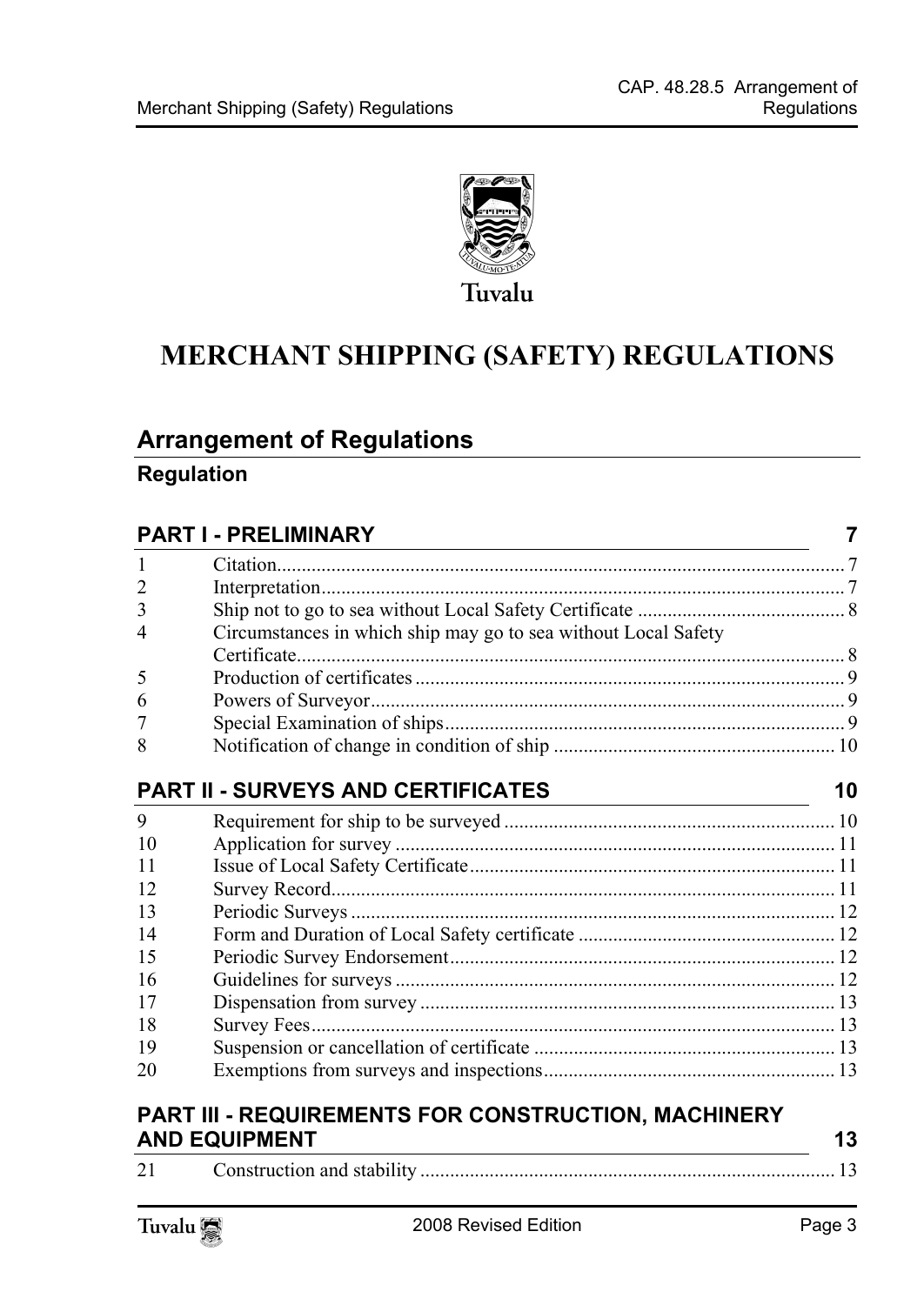

# **MERCHANT SHIPPING (SAFETY) REGULATIONS**

### **Arrange[ment of Regulations](#page-6-1)**

#### **Regulation**

### **PART I - PRELIMI[NARY 7](#page-7-1)**

| 2              |                                                                |    |
|----------------|----------------------------------------------------------------|----|
| 3              |                                                                |    |
| $\overline{4}$ | Circumstances in which ship may go to sea without Local Safety |    |
|                |                                                                |    |
| 5              |                                                                |    |
| 6              |                                                                |    |
|                |                                                                |    |
| 8              |                                                                |    |
|                |                                                                |    |
|                | <b>PART II - SURVEYS AND CERTIFICATES</b>                      | 10 |
| 9              |                                                                |    |
| 10             |                                                                |    |
| 11             |                                                                |    |
| 12             |                                                                |    |
| 13             |                                                                |    |
| 14             |                                                                |    |
| 15             |                                                                |    |
| 16             |                                                                |    |
| 17             |                                                                |    |
| 18             |                                                                |    |
| 19             |                                                                |    |
| 20             |                                                                |    |
|                |                                                                |    |

#### **PART III - REQUIREMENTS FOR CONSTRUCTION, MACHINERY AND EQUIPMENT** 13

|                         | - -- -- -- -- - -- - - - - - - - - |  |
|-------------------------|------------------------------------|--|
| $\bigcap$ 1<br>$\angle$ |                                    |  |

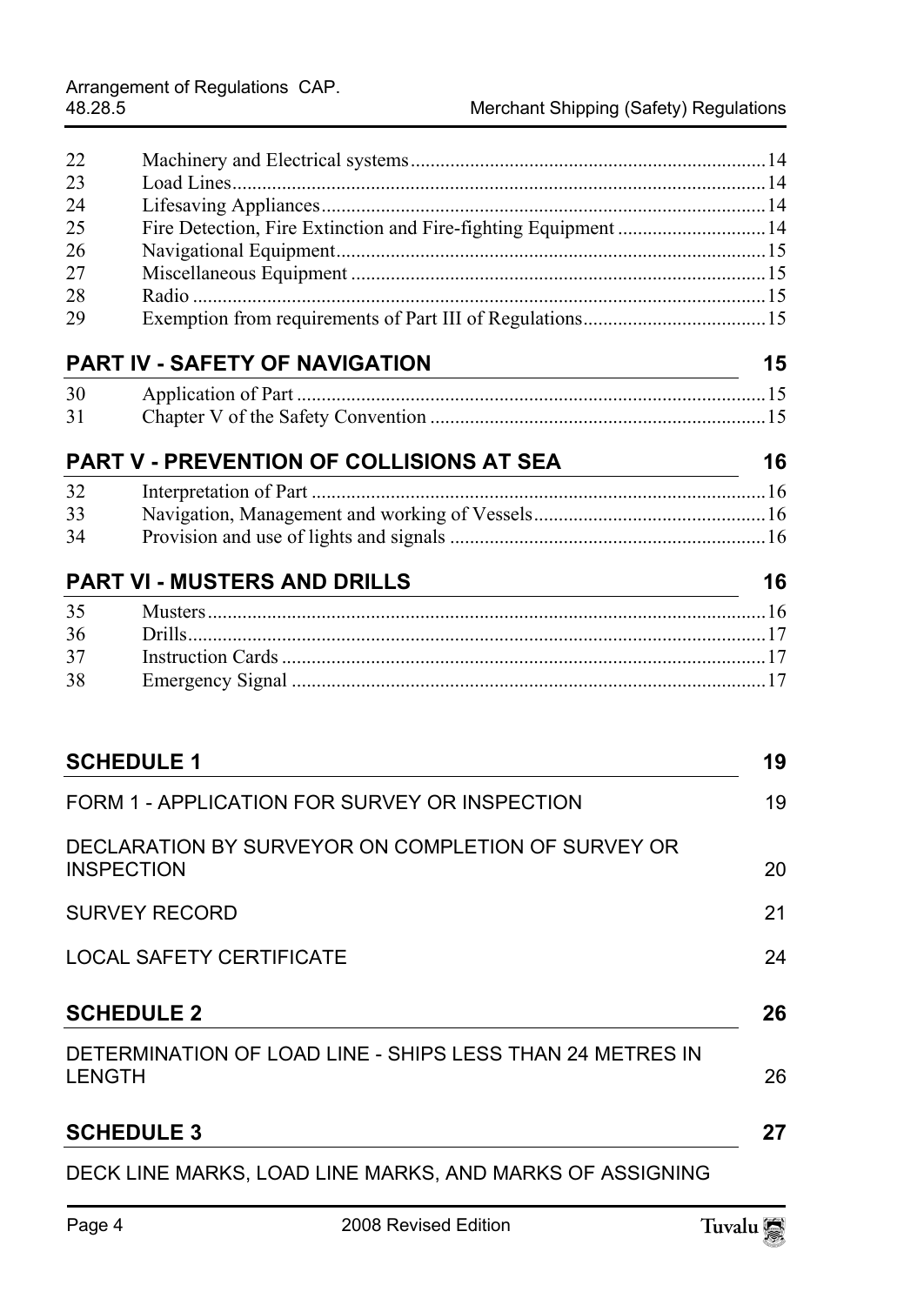| 22            |                                                           |    |
|---------------|-----------------------------------------------------------|----|
| 23            |                                                           |    |
| 24            |                                                           |    |
| 25            |                                                           |    |
| 26            |                                                           |    |
| 27            |                                                           |    |
| 28            |                                                           |    |
| 29            |                                                           |    |
|               | <b>PART IV - SAFETY OF NAVIGATION</b>                     | 15 |
| 30            |                                                           |    |
| 31            |                                                           |    |
|               | PART V - PREVENTION OF COLLISIONS AT SEA                  | 16 |
| 32            |                                                           |    |
| 33            |                                                           |    |
| 34            |                                                           |    |
|               |                                                           | 16 |
| 35            |                                                           |    |
| 36            |                                                           |    |
| 37            |                                                           |    |
| 38            |                                                           |    |
|               |                                                           |    |
|               | <b>SCHEDULE 1</b>                                         | 19 |
|               | FORM 1 - APPLICATION FOR SURVEY OR INSPECTION             | 19 |
|               | DECLARATION BY SURVEYOR ON COMPLETION OF SURVEY OR        |    |
|               | <b>INSPECTION</b>                                         | 20 |
|               | <b>SURVEY RECORD</b>                                      | 21 |
|               | <b>LOCAL SAFETY CERTIFICATE</b>                           | 24 |
|               | <b>SCHEDULE 2</b>                                         | 26 |
| <b>LENGTH</b> | DETERMINATION OF LOAD LINE - SHIPS LESS THAN 24 METRES IN | 26 |
|               | <b>SCHEDULE 3</b>                                         | 27 |
|               | DECK LINE MARKS, LOAD LINE MARKS, AND MARKS OF ASSIGNING  |    |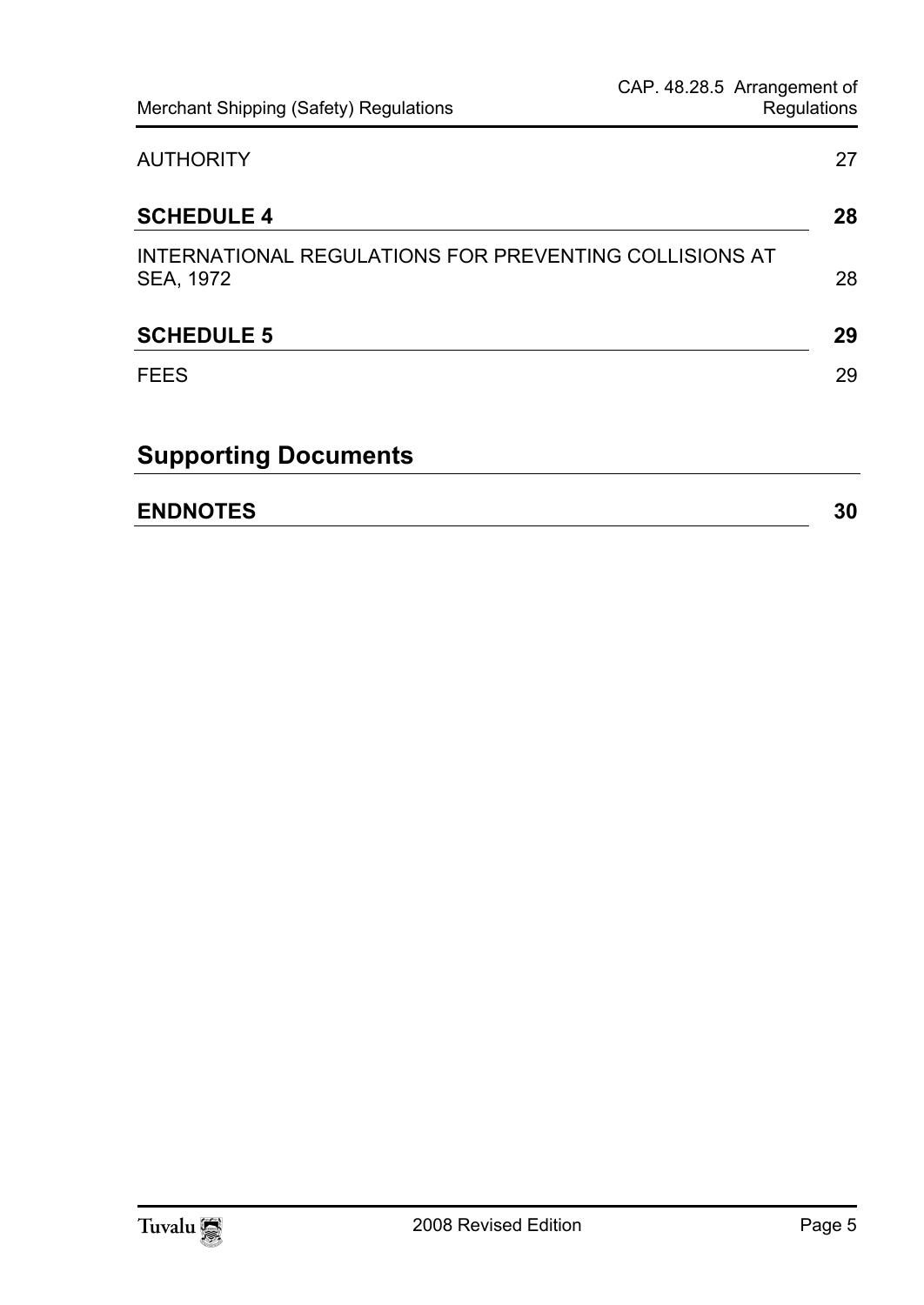| <b>AUTHORITY</b>                                                    | 27 |
|---------------------------------------------------------------------|----|
| <b>SCHEDULE 4</b>                                                   | 28 |
| INTERNATIONAL REGULATIONS FOR PREVENTING COLLISIONS AT<br>SEA, 1972 | 28 |
| <b>SCHEDULE 5</b>                                                   | 29 |
| <b>FEES</b>                                                         | 29 |
| <b>Supporting Documents</b>                                         |    |
| <b>ENDNOTES</b>                                                     | 30 |

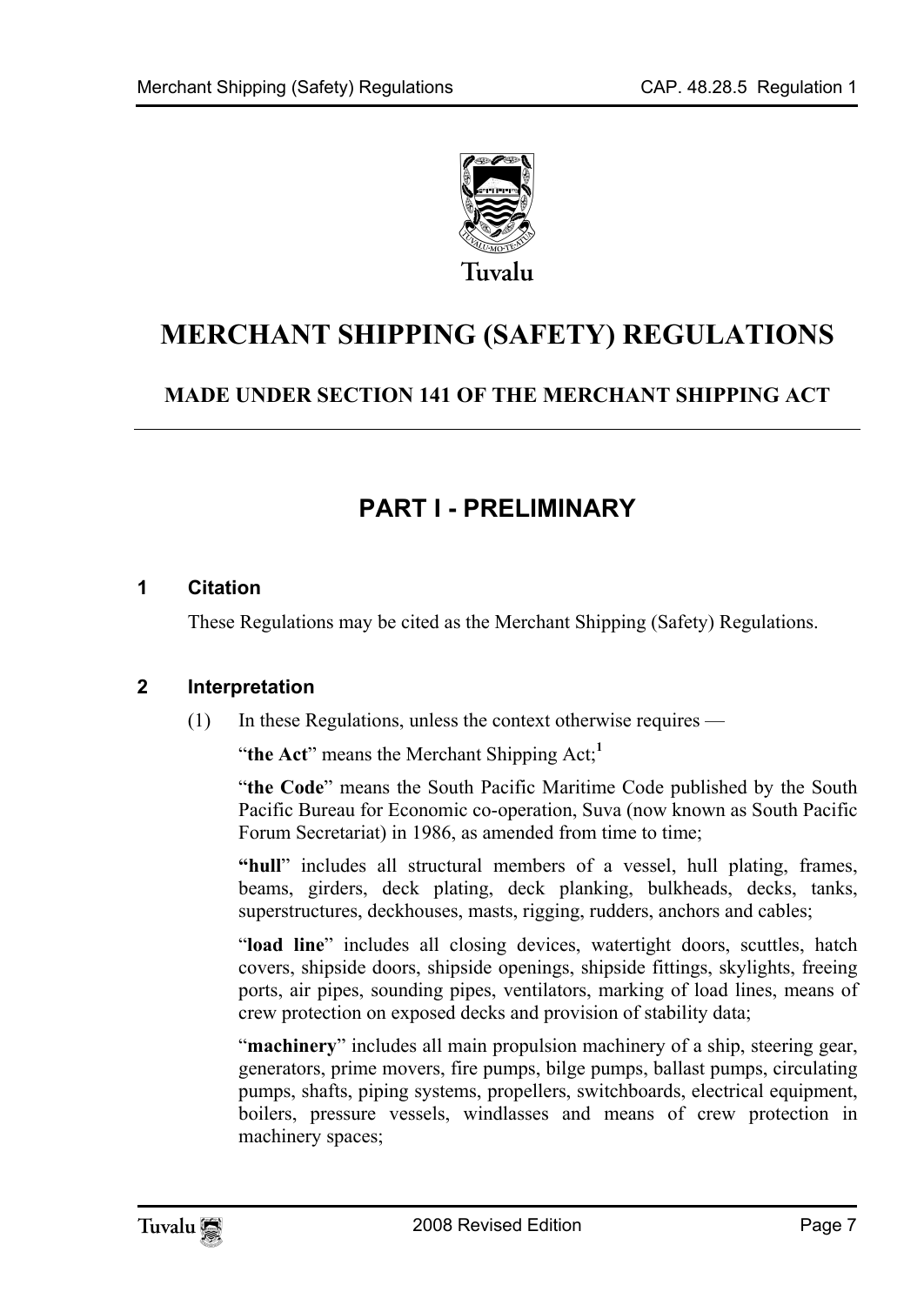

# **MERCHANT SHIPPING (SAFETY) REGULATIONS**

### **MADE UNDER SECTION 141 OF THE MERCHANT SHIPPING ACT**

# <span id="page-6-1"></span><span id="page-6-0"></span>**PART I - PRELIMINARY**

#### **1 Citation**

<span id="page-6-2"></span>These Regulations may be cited as the Merchant Shipping (Safety[\) R](#page-29-0)egulations.

#### **2 Interpretation**

(1) In these Regulations, unless the context otherwise requires —

"**the Act**" means the Merchant Shipping Act;**<sup>1</sup>**

"**the Code**" means the South Pacific Maritime Code published by the South Pacific Bureau for Economic co-operation, Suva (now known as South Pacific Forum Secretariat) in 1986, as amended from time to time;

**"hull**" includes all structural members of a vessel, hull plating, frames, beams, girders, deck plating, deck planking, bulkheads, decks, tanks, superstructures, deckhouses, masts, rigging, rudders, anchors and cables;

"**load line**" includes all closing devices, watertight doors, scuttles, hatch covers, shipside doors, shipside openings, shipside fittings, skylights, freeing ports, air pipes, sounding pipes, ventilators, marking of load lines, means of crew protection on exposed decks and provision of stability data;

"**machinery**" includes all main propulsion machinery of a ship, steering gear, generators, prime movers, fire pumps, bilge pumps, ballast pumps, circulating pumps, shafts, piping systems, propellers, switchboards, electrical equipment, boilers, pressure vessels, windlasses and means of crew protection in machinery spaces;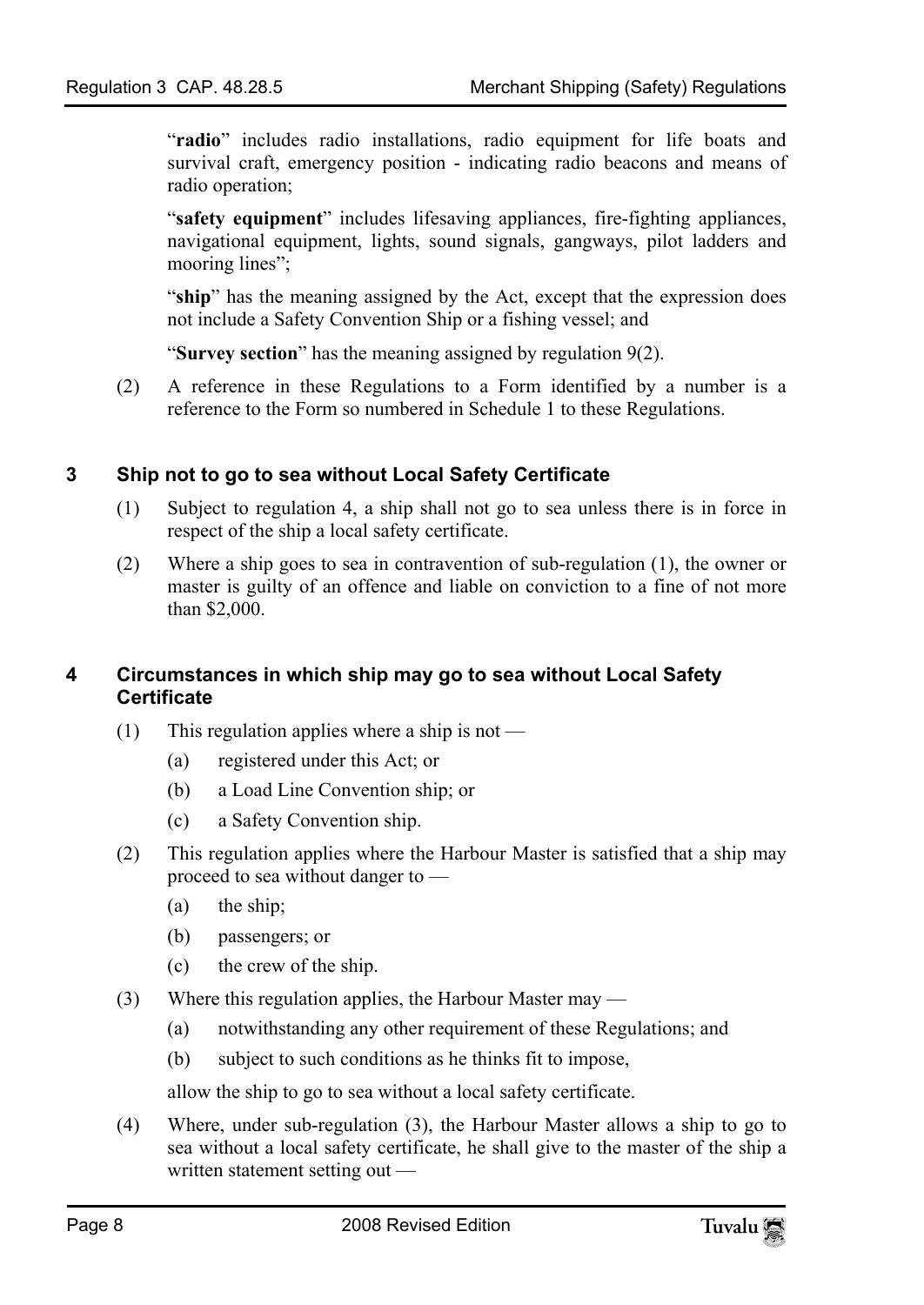"**radio**" includes radio installations, radio equipment for life boats and survival craft, emergency position - indicating radio beacons and means of radio operation;

"**safety equipment**" includes lifesaving appliances, fire-fighting appliances, navigational equipment, lights, sound signals, gangways, pilot ladders and mooring lines";

"ship" has the meaning assigned by the Act, except that the expression does not include a Safety Convention Ship or a fishing vessel; and

<span id="page-7-0"></span>"**Survey section**" has the meaning assigned by regulation 9(2).

(2) A reference in these Regulations to a Form identified by a number is a reference to the Form so numbered in Schedule 1 to these Regulations.

#### **3 Ship not to go to sea without Local Safety Certificate**

- (1) Subject to regulation 4, a ship shall not go to sea unless there is in force in respect of the ship a local safety certificate.
- <span id="page-7-1"></span>(2) Where a ship goes to sea in contravention of sub-regulation (1), the owner or master is guilty of an offence and liable on conviction to a fine of not more than \$2,000.

#### **4 Circumstances in which ship may go to sea without Local Safety Certificate**

- (1) This regulation applies where a ship is not
	- (a) registered under this Act; or
	- (b) a Load Line Convention ship; or
	- (c) a Safety Convention ship.
- (2) This regulation applies where the Harbour Master is satisfied that a ship may proceed to sea without danger to —
	- (a) the ship;
	- (b) passengers; or
	- (c) the crew of the ship.
- (3) Where this regulation applies, the Harbour Master may
	- (a) notwithstanding any other requirement of these Regulations; and
	- (b) subject to such conditions as he thinks fit to impose,

allow the ship to go to sea without a local safety certificate.

(4) Where, under sub-regulation (3), the Harbour Master allows a ship to go to sea without a local safety certificate, he shall give to the master of the ship a written statement setting out —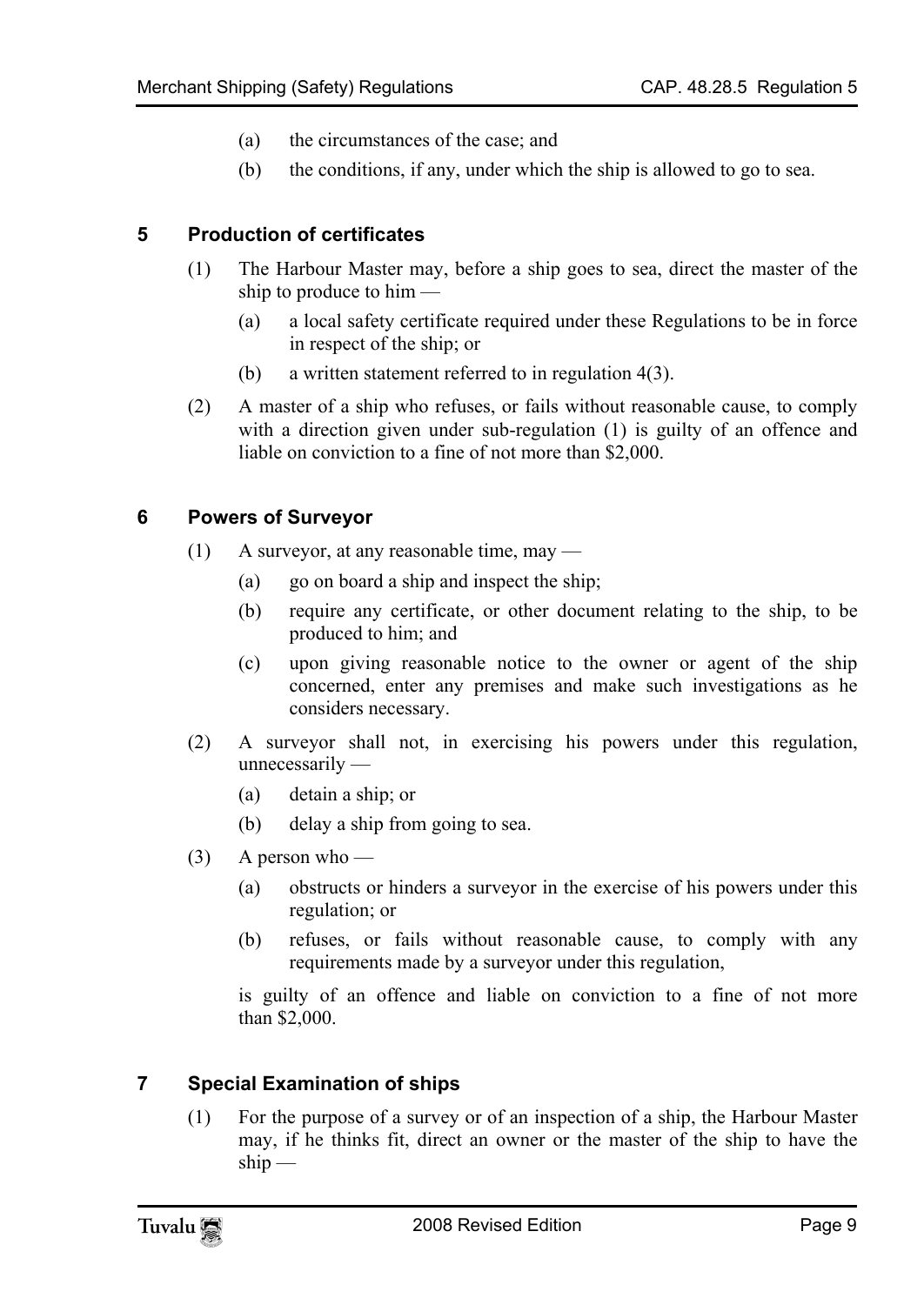- <span id="page-8-0"></span>(a) the circumstances of the case; and
- (b) the conditions, if any, under which the ship is allowed to go to sea.

#### **5 Production of certificates**

- (1) The Harbour Master may, before a ship goes to sea, direct the master of the ship to produce to him —
	- (a) a local safety certificate required under these Regulations to be in force in respect of the ship; or
	- (b) a written statement referred to in regulation 4(3).
- <span id="page-8-1"></span>(2) A master of a ship who refuses, or fails without reasonable cause, to comply with a direction given under sub-regulation (1) is guilty of an offence and liable on conviction to a fine of not more than \$2,000.

#### **6 Powers of Surveyor**

- $(1)$  A surveyor, at any reasonable time, may
	- (a) go on board a ship and inspect the ship;
	- (b) require any certificate, or other document relating to the ship, to be produced to him; and
	- (c) upon giving reasonable notice to the owner or agent of the ship concerned, enter any premises and make such investigations as he considers necessary.
- (2) A surveyor shall not, in exercising his powers under this regulation, unnecessarily —
	- (a) detain a ship; or
	- (b) delay a ship from going to sea.
- $(3)$  A person who
	- (a) obstructs or hinders a surveyor in the exercise of his powers under this regulation; or
	- (b) refuses, or fails without reasonable cause, to comply with any requirements made by a surveyor under this regulation,

<span id="page-8-2"></span>is guilty of an offence and liable on conviction to a fine of not more than \$2,000.

#### **7 Special Examination of ships**

(1) For the purpose of a survey or of an inspection of a ship, the Harbour Master may, if he thinks fit, direct an owner or the master of the ship to have the  $ship -$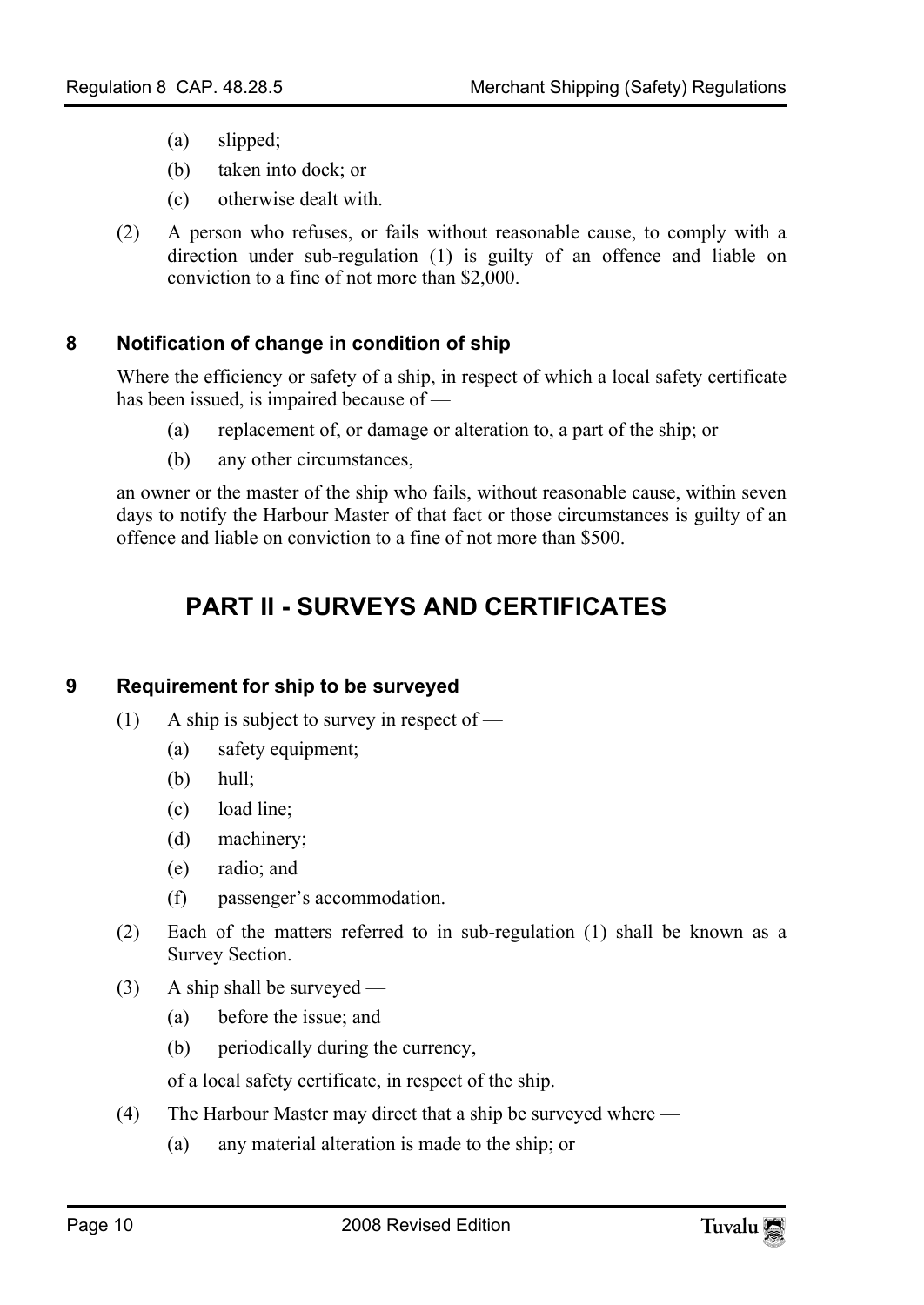- (a) slipped;
- (b) taken into dock; or
- <span id="page-9-0"></span>(c) otherwise dealt with.
- (2) A person who refuses, or fails without reasonable cause, to comply with a direction under sub-regulation (1) is guilty of an offence and liable on conviction to a fine of not more than \$2,000.

#### **8 Notification of change in condition of ship**

Where the efficiency or safety of a ship, in respect of which a local safety certificate has been issued, is impaired because of —

- (a) replacement of, or damage or alteration to, a part of the ship; or
- <span id="page-9-1"></span>(b) any other circumstances,

an owner or the master of the ship who fails, without reasonable cause, within seven days to notify the Harbour Master of that fact or those circumstances is guilty of an offence and liable on conviction to a fine of not more than \$500.

# <span id="page-9-2"></span>**PART II - SURVEYS AND CERTIFICATES**

#### **9 Requirement for ship to be surveyed**

- (1) A ship is subject to survey in respect of
	- (a) safety equipment;
	- (b) hull;
	- (c) load line;
	- (d) machinery;
	- (e) radio; and
	- (f) passenger's accommodation.
- (2) Each of the matters referred to in sub-regulation (1) shall be known as a Survey Section.
- (3) A ship shall be surveyed
	- (a) before the issue; and
	- (b) periodically during the currency,

of a local safety certificate, in respect of the ship.

- (4) The Harbour Master may direct that a ship be surveyed where
	- (a) any material alteration is made to the ship; or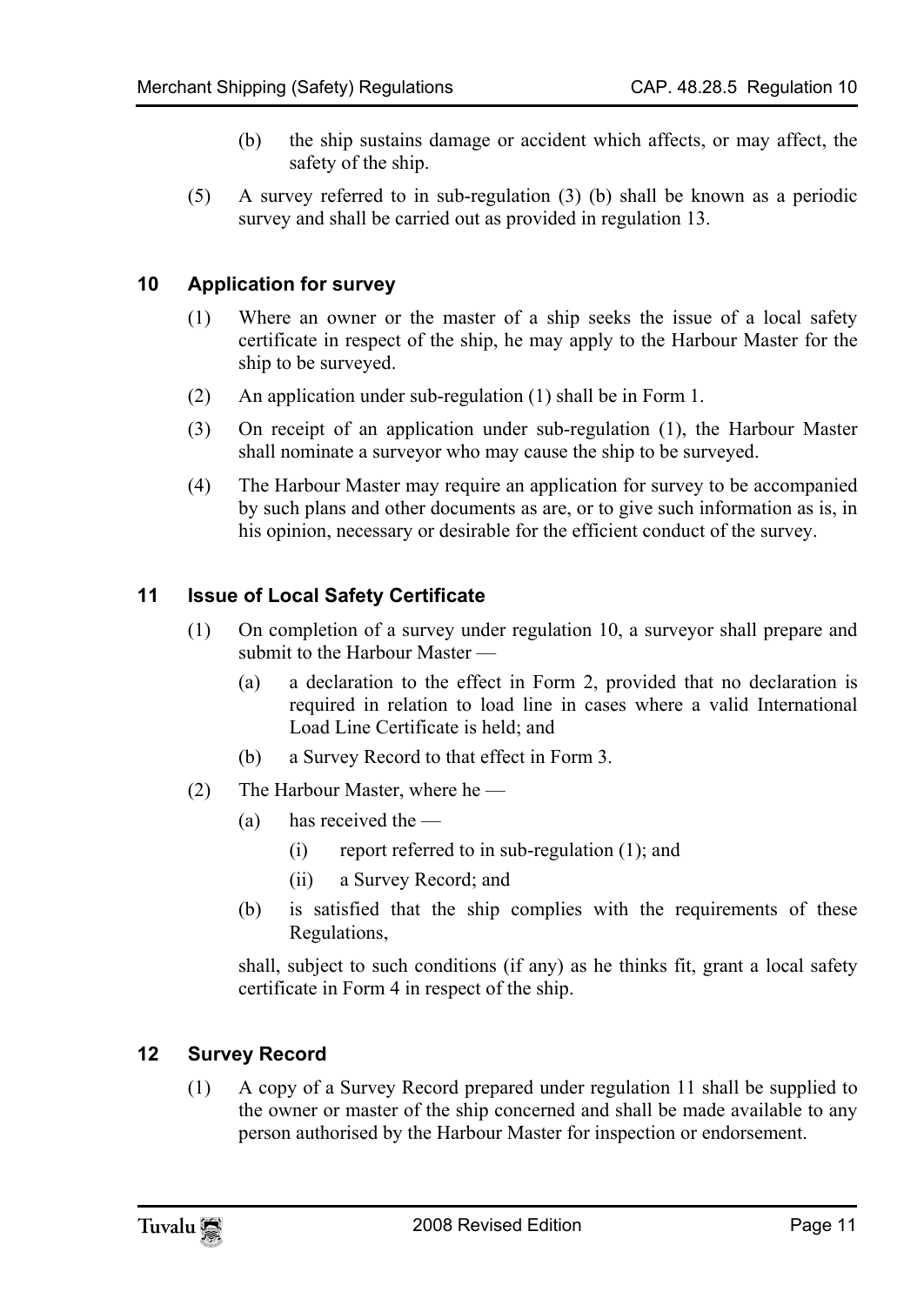- <span id="page-10-0"></span>(b) the ship sustains damage or accident which affects, or may affect, the safety of the ship.
- (5) A survey referred to in sub-regulation (3) (b) shall be known as a periodic survey and shall be carried out as provided in regulation 13.

#### **10 Application for survey**

- (1) Where an owner or the master of a ship seeks the issue of a local safety certificate in respect of the ship, he may apply to the Harbour Master for the ship to be surveyed.
- (2) An application under sub-regulation (1) shall be in Form 1.
- (3) On receipt of an application under sub-regulation (1), the Harbour Master shall nominate a surveyor who may cause the ship to be surveyed.
- <span id="page-10-1"></span>(4) The Harbour Master may require an application for survey to be accompanied by such plans and other documents as are, or to give such information as is, in his opinion, necessary or desirable for the efficient conduct of the survey.

#### **11 Issue of Local Safety Certificate**

- (1) On completion of a survey under regulation 10, a surveyor shall prepare and submit to the Harbour Master —
	- (a) a declaration to the effect in Form 2, provided that no declaration is required in relation to load line in cases where a valid International Load Line Certificate is held; and
	- (b) a Survey Record to that effect in Form 3.
- (2) The Harbour Master, where he
	- (a) has received the  $-$ 
		- (i) report referred to in sub-regulation (1); and
		- (ii) a Survey Record; and
	- (b) is satisfied that the ship complies with the requirements of these Regulations,

<span id="page-10-2"></span>shall, subject to such conditions (if any) as he thinks fit, grant a local safety certificate in Form 4 in respect of the ship.

#### **12 Survey Record**

(1) A copy of a Survey Record prepared under regulation 11 shall be supplied to the owner or master of the ship concerned and shall be made available to any person authorised by the Harbour Master for inspection or endorsement.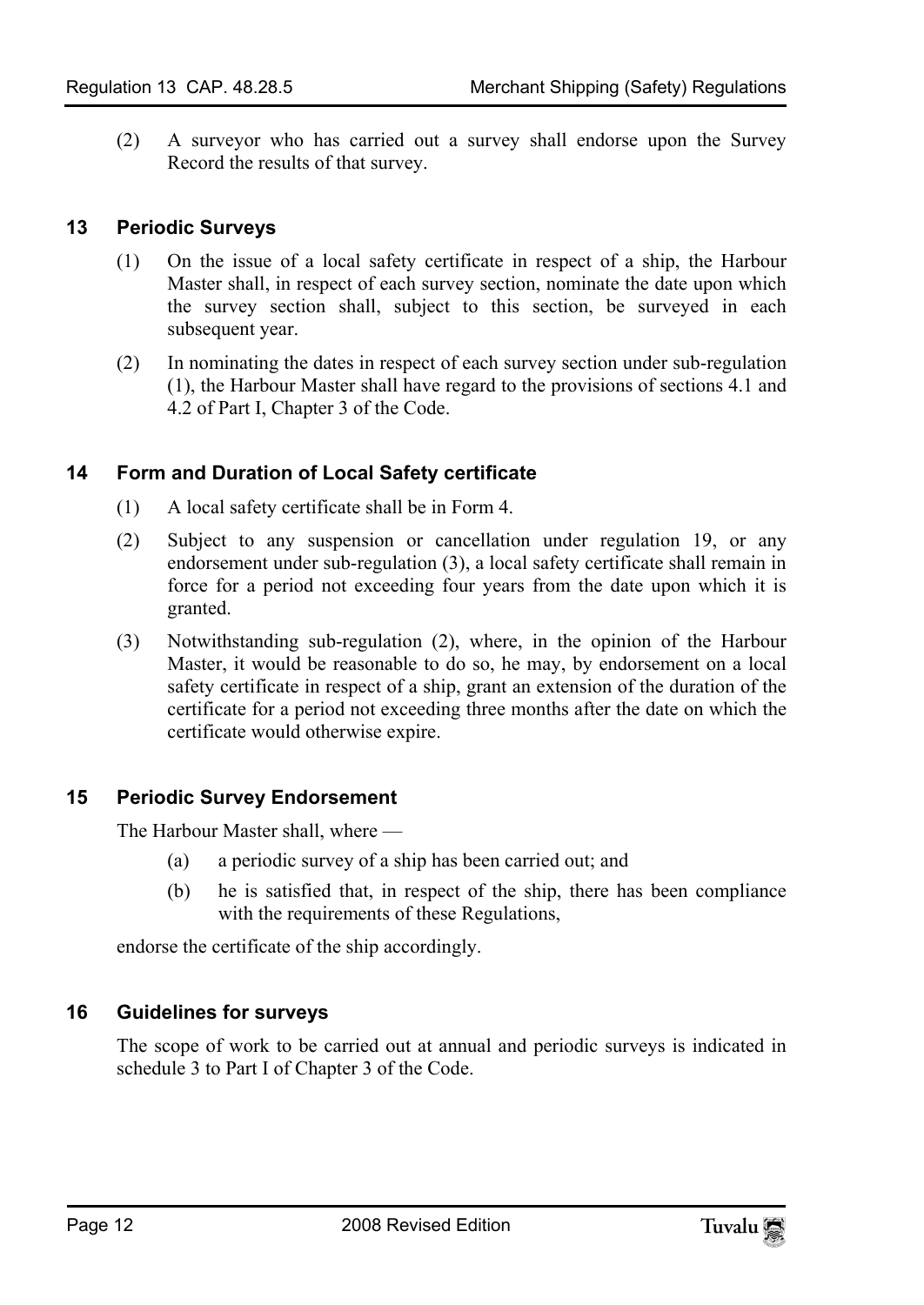<span id="page-11-0"></span>(2) A surveyor who has carried out a survey shall endorse upon the Survey Record the results of that survey.

#### **13 Periodic Surveys**

- (1) On the issue of a local safety certificate in respect of a ship, the Harbour Master shall, in respect of each survey section, nominate the date upon which the survey section shall, subject to this section, be surveyed in each subsequent year.
- <span id="page-11-1"></span>(2) In nominating the dates in respect of each survey section under sub-regulation (1), the Harbour Master shall have regard to the provisions of sections 4.1 and 4.2 of Part I, Chapter 3 of the Code.

#### **14 Form and Duration of Local Safety certificate**

- (1) A local safety certificate shall be in Form 4.
- (2) Subject to any suspension or cancellation under regulation 19, or any endorsement under sub-regulation (3), a local safety certificate shall remain in force for a period not exceeding four years from the date upon which it is granted.
- <span id="page-11-2"></span>(3) Notwithstanding sub-regulation (2), where, in the opinion of the Harbour Master, it would be reasonable to do so, he may, by endorsement on a local safety certificate in respect of a ship, grant an extension of the duration of the certificate for a period not exceeding three months after the date on which the certificate would otherwise expire.

#### **15 Periodic Survey Endorsement**

The Harbour Master shall, where —

- (a) a periodic survey of a ship has been carried out; and
- <span id="page-11-3"></span>(b) he is satisfied that, in respect of the ship, there has been compliance with the requirements of these Regulations,

endorse the certificate of the ship accordingly.

#### **16 Guidelines for surveys**

The scope of work to be carried out at annual and periodic surveys is indicated in schedule 3 to Part I of Chapter 3 of the Code.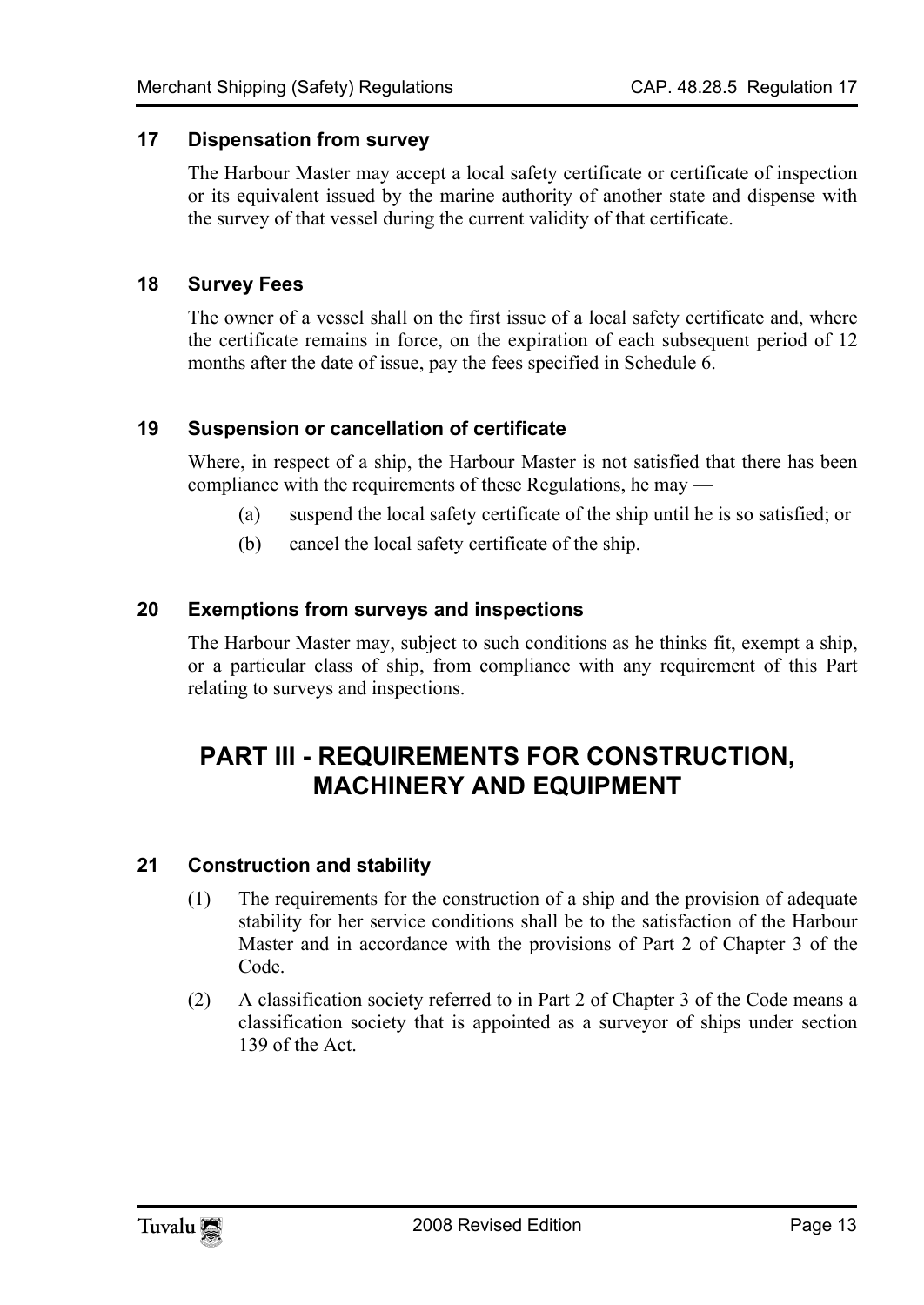#### **17 Dispensation from survey**

<span id="page-12-1"></span><span id="page-12-0"></span>The Harbour Master may accept a local safety certificate or certificate of inspection or its equivalent issued by the marine authority of another state and dispense with the survey of that vessel during the current validity of that certificate.

#### **18 Survey Fees**

<span id="page-12-2"></span>The owner of a vessel shall on the first issue of a local safety certificate and, where the certificate remains in force, on the expiration of each subsequent period of 12 months after the date of issue, pay the fees specified in Schedule 6.

#### **19 Suspension or cancellation of certificate**

Where, in respect of a ship, the Harbour Master is not satisfied that there has been compliance with the requirements of these Regulations, he may —

- <span id="page-12-3"></span>(a) suspend the local safety certificate of the ship until he is so satisfied; or
- <span id="page-12-4"></span>(b) cancel the local safety certificate of the ship.

#### **20 Exemptions from surveys and inspections**

The Harbour Master may, subject to such conditions as he thinks fit, exempt a ship, or a particular class of ship, from compliance with any requirement of this Part relating to surveys and inspections.

## <span id="page-12-5"></span>**PART III - REQUIREMENTS FOR CONSTRUCTION, MACHINERY AND EQUIPMENT**

#### **21 Construction and stability**

- (1) The requirements for the construction of a ship and the provision of adequate stability for her service conditions shall be to the satisfaction of the Harbour Master and in accordance with the provisions of Part 2 of Chapter 3 of the Code.
- (2) A classification society referred to in Part 2 of Chapter 3 of the Code means a classification society that is appointed as a surveyor of ships under section 139 of the Act.

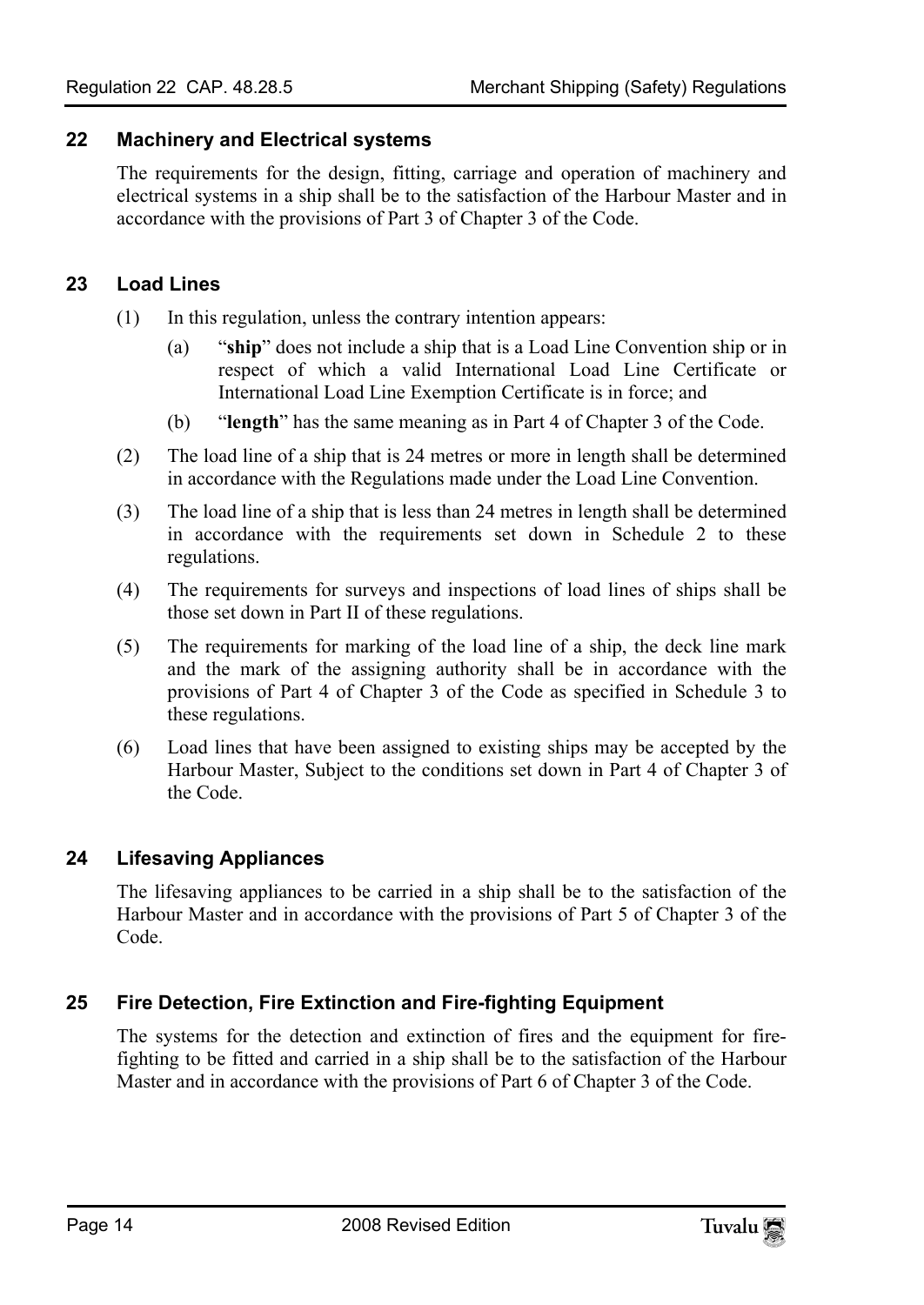#### **22 Machinery and Electrical systems**

<span id="page-13-0"></span>The requirements for the design, fitting, carriage and operation of machinery and electrical systems in a ship shall be to the satisfaction of the Harbour Master and in accordance with the provisions of Part 3 of Chapter 3 of the Code.

#### **23 Load Lines**

- (1) In this regulation, unless the contrary intention appears:
	- (a) "**ship**" does not include a ship that is a Load Line Convention ship or in respect of which a valid International Load Line Certificate or International Load Line Exemption Certificate is in force; and
	- (b) "**length**" has the same meaning as in Part 4 of Chapter 3 of the Code.
- (2) The load line of a ship that is 24 metres or more in length shall be determined in accordance with the Regulations made under the Load Line Convention.
- (3) The load line of a ship that is less than 24 metres in length shall be determined in accordance with the requirements set down in Schedule 2 to these regulations.
- (4) The requirements for surveys and inspections of load lines of ships shall be those set down in Part II of these regulations.
- (5) The requirements for marking of the load line of a ship, the deck line mark and the mark of the assigning authority shall be in accordance with the provisions of Part 4 of Chapter 3 of the Code as specified in Schedule 3 to these regulations.
- <span id="page-13-1"></span>(6) Load lines that have been assigned to existing ships may be accepted by the Harbour Master, Subject to the conditions set down in Part 4 of Chapter 3 of the Code.

#### **24 Lifesaving Appliances**

<span id="page-13-2"></span>The lifesaving appliances to be carried in a ship shall be to the satisfaction of the Harbour Master and in accordance with the provisions of Part 5 of Chapter 3 of the Code.

#### **25 Fire Detection, Fire Extinction and Fire-fighting Equipment**

The systems for the detection and extinction of fires and the equipment for firefighting to be fitted and carried in a ship shall be to the satisfaction of the Harbour Master and in accordance with the provisions of Part 6 of Chapter 3 of the Code.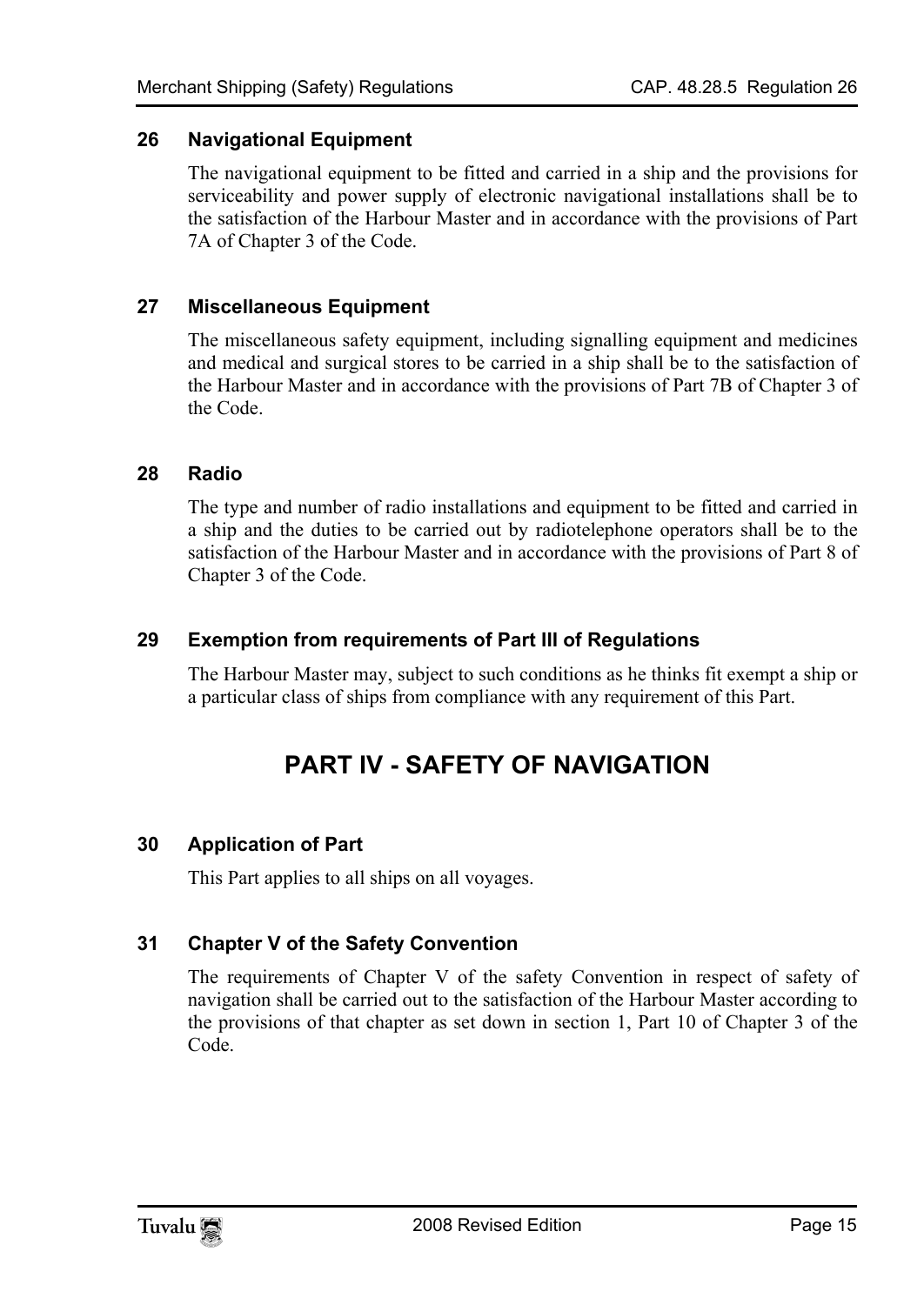#### **26 Navigational Equipment**

<span id="page-14-0"></span>The navigational equipment to be fitted and carried in a ship and the provisions for serviceability and power supply of electronic navigational installations shall be to the satisfaction of the Harbour Master and in accordance with the provisions of Part 7A of Chapter 3 of the Code.

#### **27 Miscellaneous Equipment**

<span id="page-14-1"></span>The miscellaneous safety equipment, including signalling equipment and medicines and medical and surgical stores to be carried in a ship shall be to the satisfaction of the Harbour Master and in accordance with the provisions of Part 7B of Chapter 3 of the Code.

#### **28 Radio**

<span id="page-14-2"></span>The type and number of radio installations and equipment to be fitted and carried in a ship and the duties to be carried out by radiotelephone operators shall be to the satisfaction of the Harbour Master and in accordance with the provisions of Part 8 of Chapter 3 of the Code.

#### **29 Exemption from requirements of Part III of Regulations**

The Harbour Master may, subject to such conditions as he thinks fit exempt a ship or a particular class of ships from compliance with any requirement of this Part.

### <span id="page-14-5"></span><span id="page-14-4"></span><span id="page-14-3"></span>**PART IV - SAFETY OF NAVIGATION**

#### **30 Application of Part**

This Part applies to all ships on all voyages.

#### **31 Chapter V of the Safety Convention**

The requirements of Chapter V of the safety Convention in respect of safety of navigation shall be carried out to the satisfaction of the Harbour Master according to the provisions of that chapter as set down in section 1, Part 10 of Chapter 3 of the Code.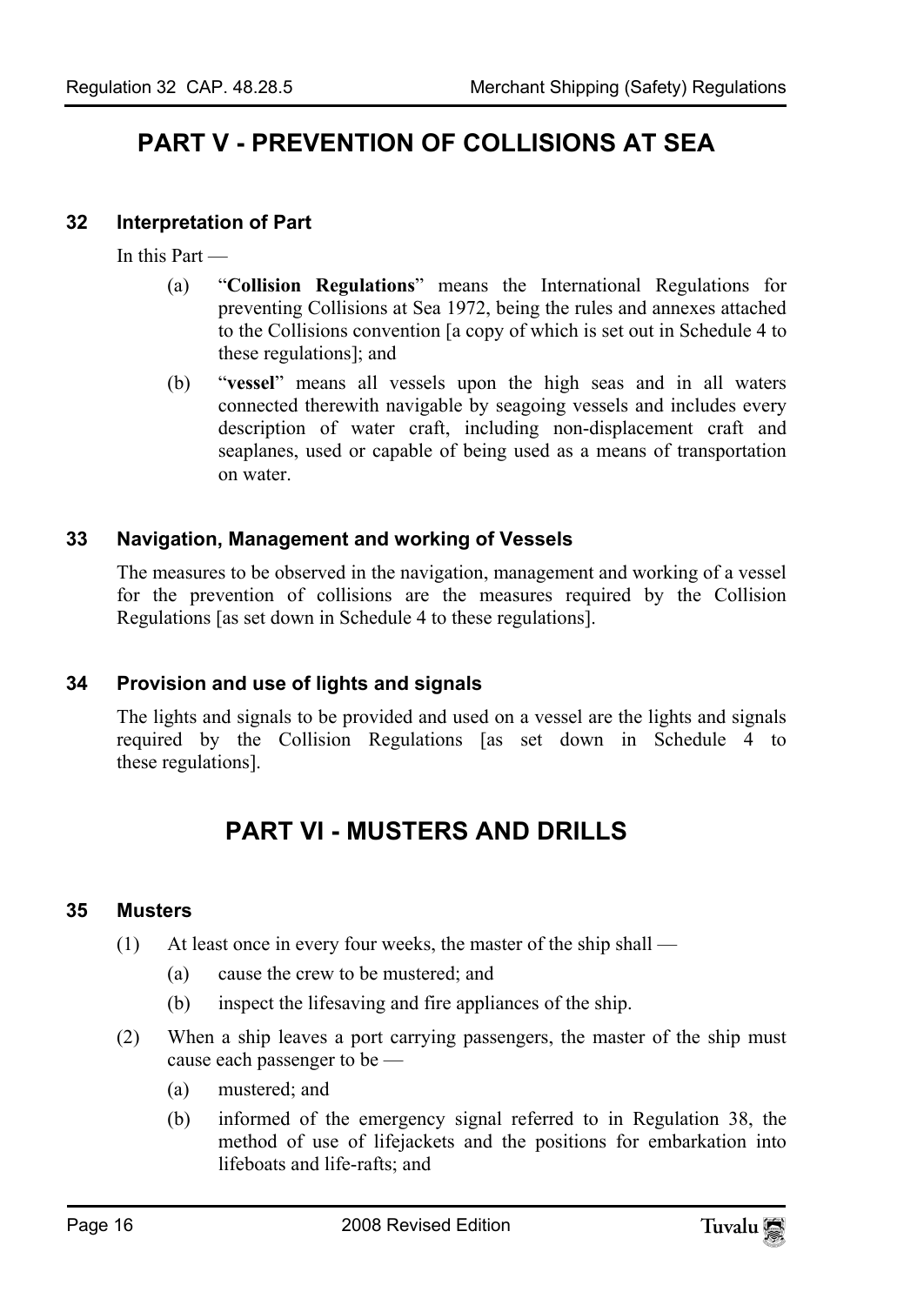# <span id="page-15-1"></span><span id="page-15-0"></span>**PART V - PREVENTION OF COLLISIONS AT SEA**

#### **32 Interpretation of Part**

In this Part —

- (a) "**Collision Regulations**" means the International Regulations for preventing Collisions at Sea 1972, being the rules and annexes attached to the Collisions convention [a copy of which is set out in Schedule 4 to these regulations]; and
- <span id="page-15-2"></span>(b) "**vessel**" means all vessels upon the high seas and in all waters connected therewith navigable by seagoing vessels and includes every description of water craft, including non-displacement craft and seaplanes, used or capable of being used as a means of transportation on water.

#### **33 Navigation, Management and working of Vessels**

<span id="page-15-3"></span>The measures to be observed in the navigation, management and working of a vessel for the prevention of collisions are the measures required by the Collision Regulations [as set down in Schedule 4 to these regulations].

#### **34 Provision and use of lights and signals**

The lights and signals to be provided and used on a vessel are the lights and signals required by the Collision Regulations [as set down in Schedule 4 to these regulations].

# <span id="page-15-5"></span><span id="page-15-4"></span>**PART VI - MUSTERS AND DRILLS**

#### **35 Musters**

- (1) At least once in every four weeks, the master of the ship shall
	- (a) cause the crew to be mustered; and
	- (b) inspect the lifesaving and fire appliances of the ship.
- (2) When a ship leaves a port carrying passengers, the master of the ship must cause each passenger to be —
	- (a) mustered; and
	- (b) informed of the emergency signal referred to in Regulation 38, the method of use of lifejackets and the positions for embarkation into lifeboats and life-rafts; and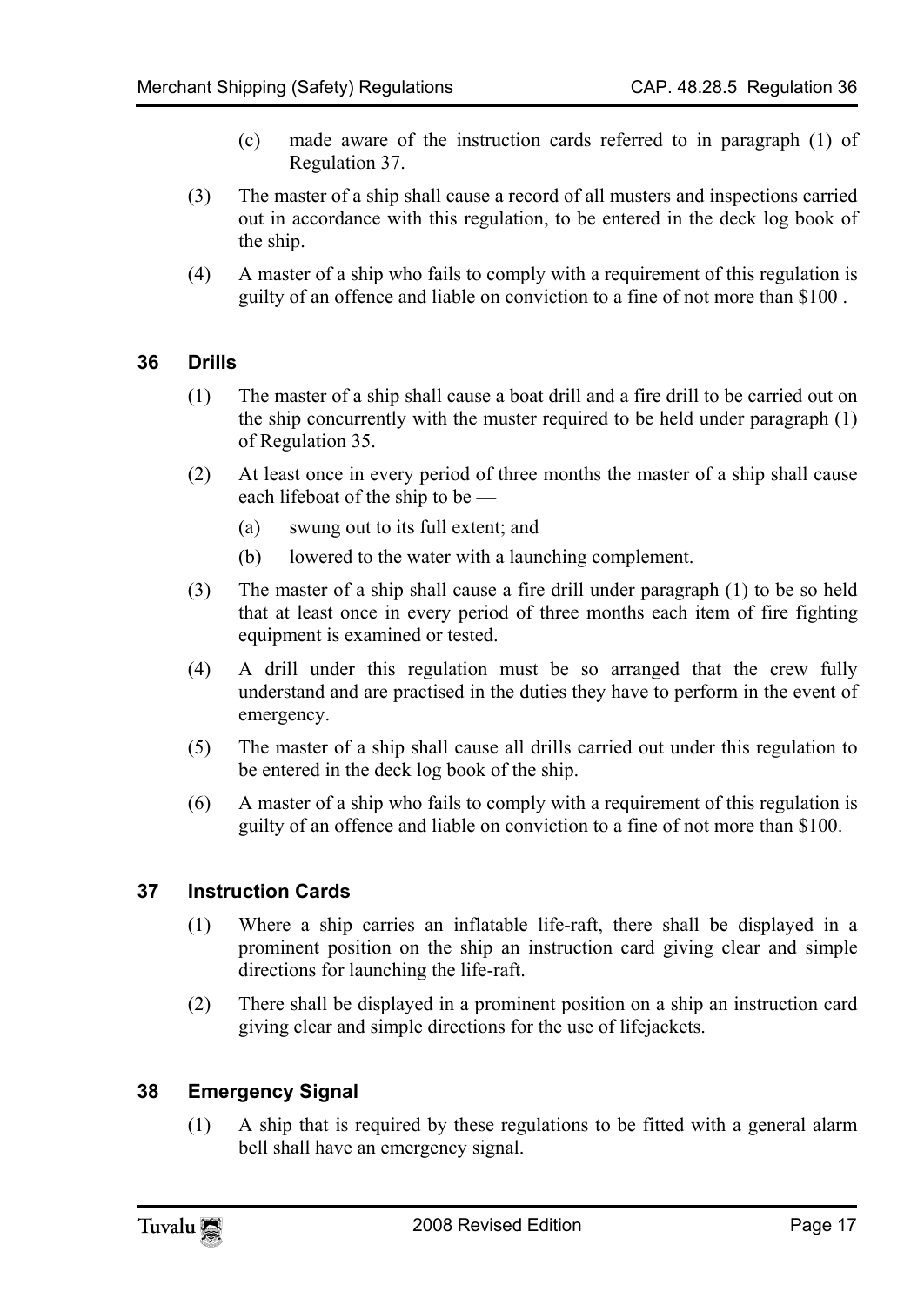- (c) made aware of the instruction cards referred to in paragraph (1) of Regulation 37.
- (3) The master of a ship shall cause a record of all musters and inspections carried out in accordance with this regulation, to be entered in the deck log book of the ship.
- <span id="page-16-0"></span>(4) A master of a ship who fails to comply with a requirement of this regulation is guilty of an offence and liable on conviction to a fine of not more than \$100 .

#### **36 Drills**

- (1) The master of a ship shall cause a boat drill and a fire drill to be carried out on the ship concurrently with the muster required to be held under paragraph (1) of Regulation 35.
- (2) At least once in every period of three months the master of a ship shall cause each lifeboat of the ship to be —
	- (a) swung out to its full extent; and
	- (b) lowered to the water with a launching complement.
- (3) The master of a ship shall cause a fire drill under paragraph (1) to be so held that at least once in every period of three months each item of fire fighting equipment is examined or tested.
- (4) A drill under this regulation must be so arranged that the crew fully understand and are practised in the duties they have to perform in the event of emergency.
- <span id="page-16-1"></span>(5) The master of a ship shall cause all drills carried out under this regulation to be entered in the deck log book of the ship.
- (6) A master of a ship who fails to comply with a requirement of this regulation is guilty of an offence and liable on conviction to a fine of not more than \$100.

#### **37 Instruction Cards**

- (1) Where a ship carries an inflatable life-raft, there shall be displayed in a prominent position on the ship an instruction card giving clear and simple directions for launching the life-raft.
- <span id="page-16-2"></span>(2) There shall be displayed in a prominent position on a ship an instruction card giving clear and simple directions for the use of lifejackets.

#### **38 Emergency Signal**

(1) A ship that is required by these regulations to be fitted with a general alarm bell shall have an emergency signal.

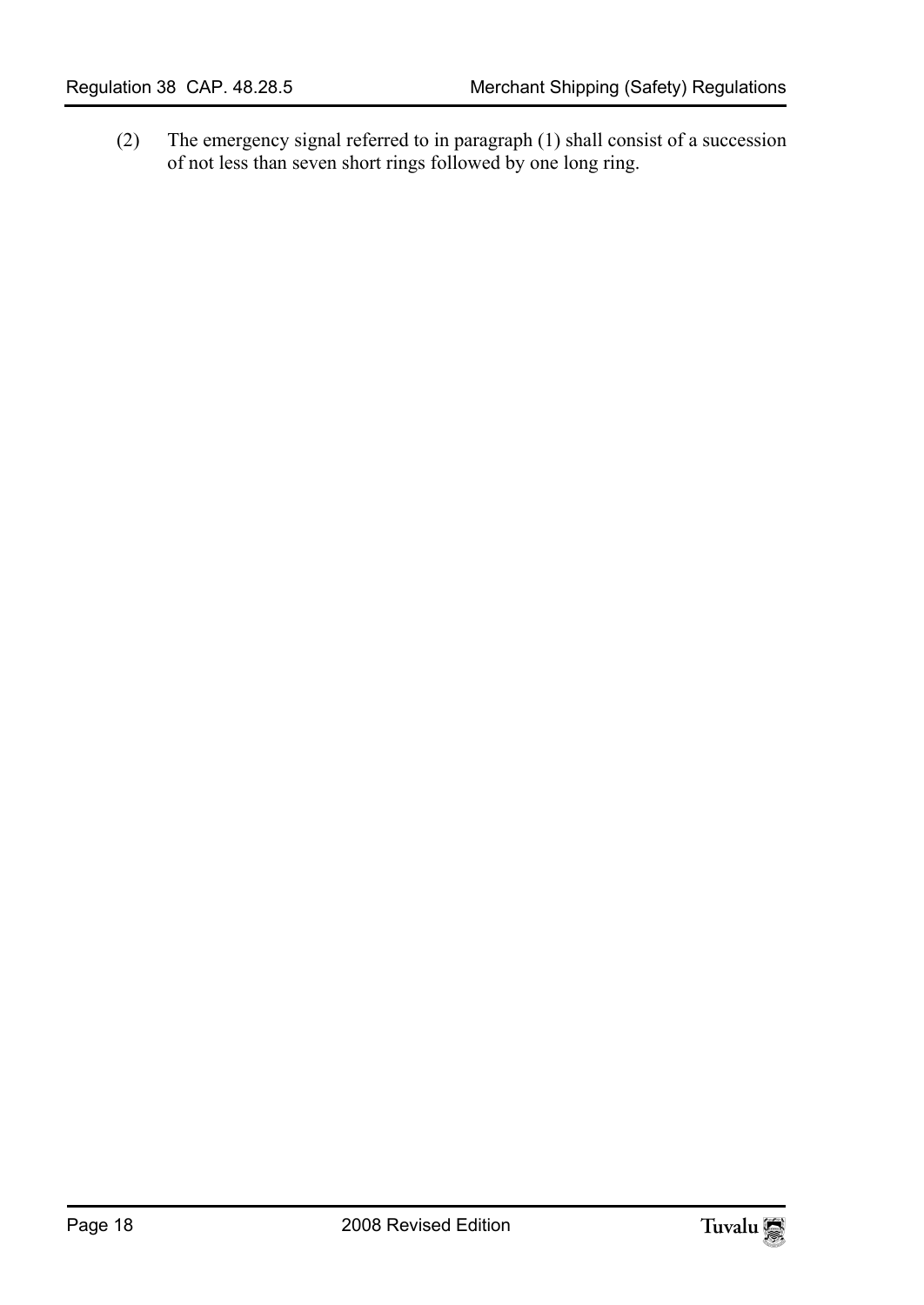(2) The emergency signal referred to in paragraph (1) shall consist of a succession of not less than seven short rings followed by one long ring.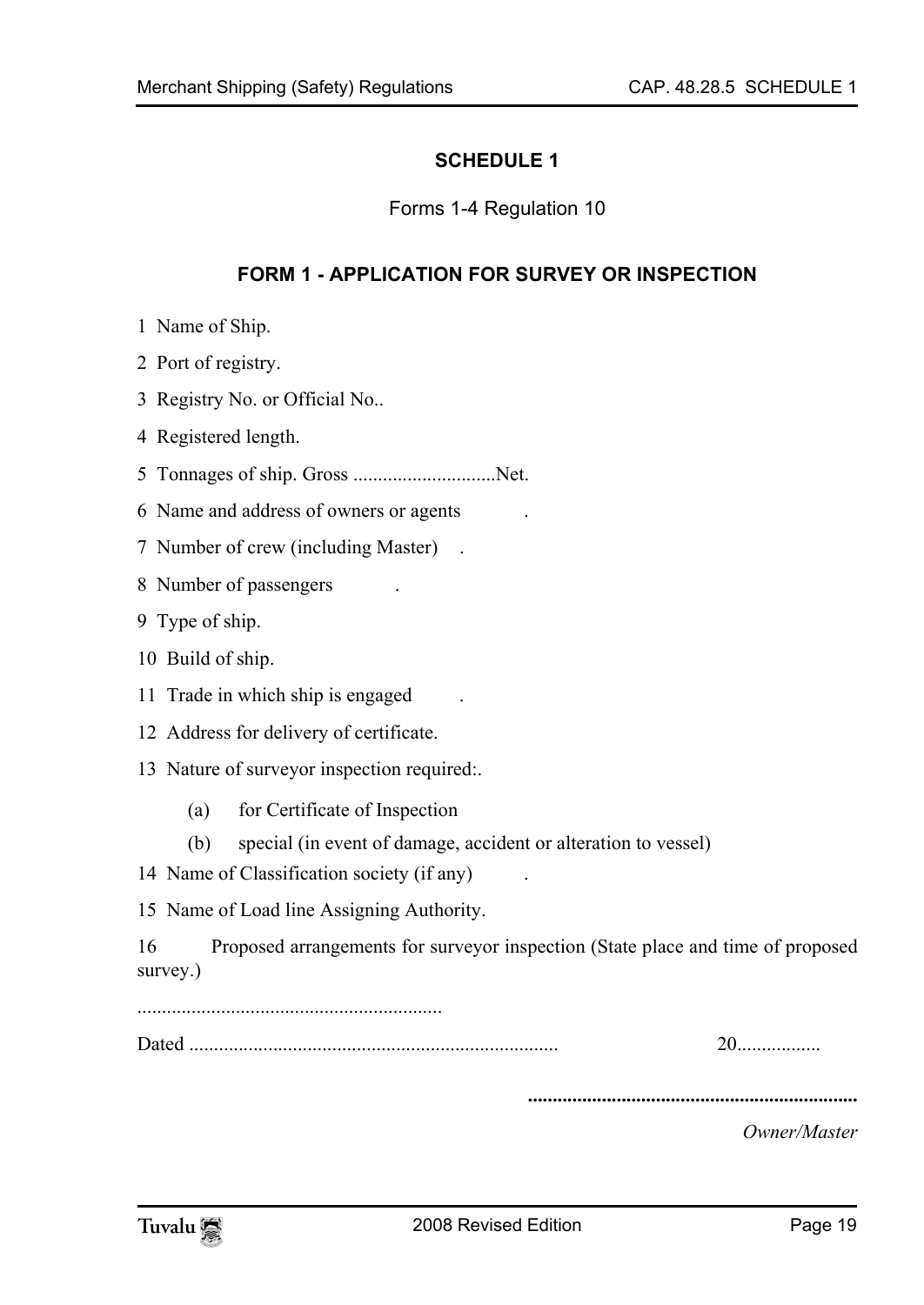#### <span id="page-18-0"></span>**SCHEDULE 1**

<span id="page-18-1"></span>Forms 1-4 Regulation 10

#### **FORM 1 - APPLICATION FOR SURVEY OR INSPECTION**

- 1 Name of Ship.
- 2 Port of registry.
- 3 Registry No. or Official No..
- 4 Registered length.
- 5 Tonnages of ship. Gross .............................Net.
- 6 Name and address of owners or agents .
- 7 Number of crew (including Master) .
- 8 Number of passengers
- 9 Type of ship.
- 10 Build of ship.
- 11 Trade in which ship is engaged .
- 12 Address for delivery of certificate.
- 13 Nature of surveyor inspection required:.
	- (a) for Certificate of Inspection
	- (b) special (in event of damage, accident or alteration to vessel)
- 14 Name of Classification society (if any) .

15 Name of Load line Assigning Authority.

16 Proposed arrangements for surveyor inspection (State place and time of proposed survey.)

..............................................................

Dated ........................................................................... 20.................

**...................................................................** 

*Owner/Master* 

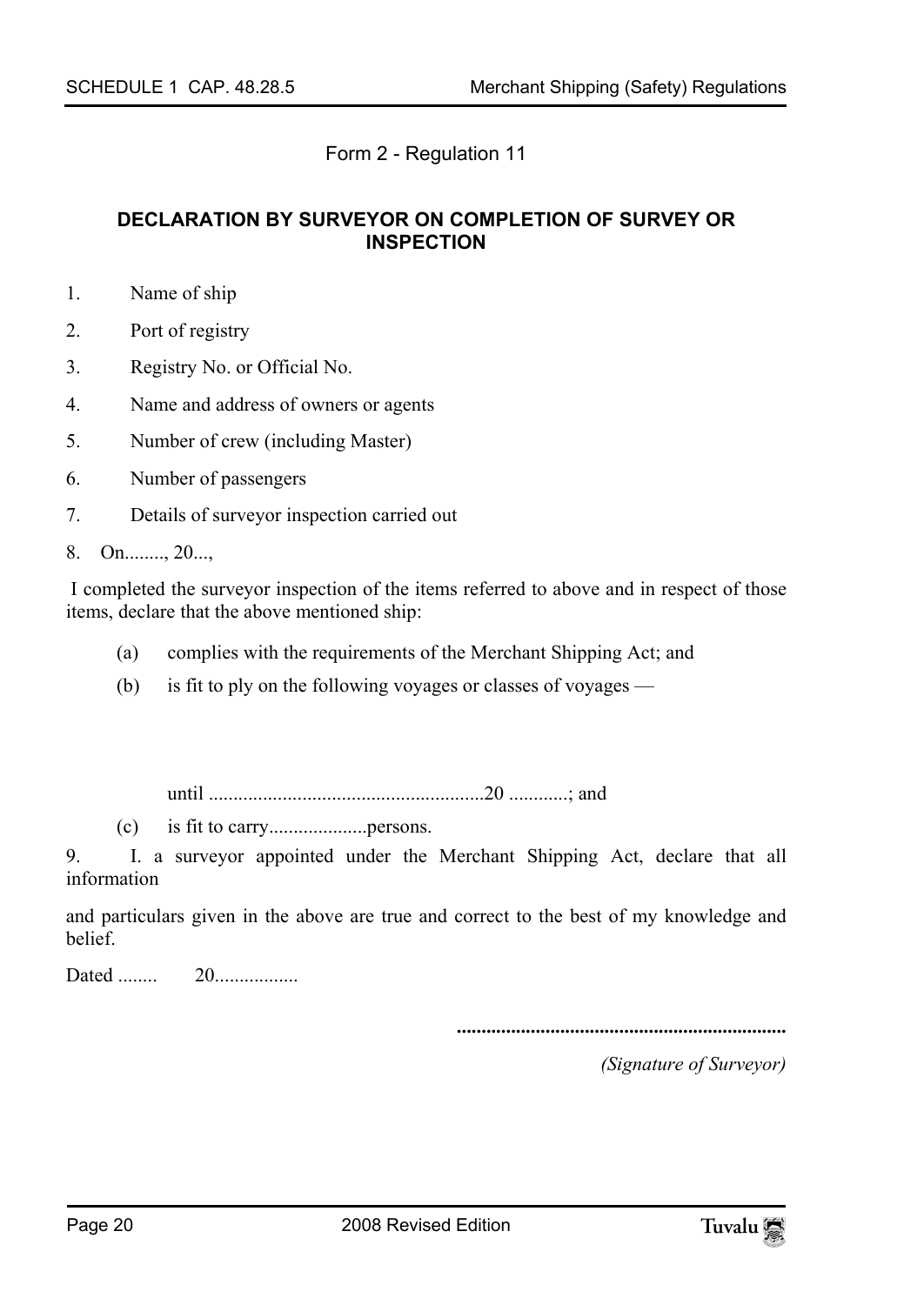#### <span id="page-19-0"></span>Form 2 - Regulation 11

#### **DECLARATION BY SURVEYOR ON COMPLETION OF SURVEY OR INSPECTION**

- 1. Name of ship
- 2. Port of registry
- 3. Registry No. or Official No.
- 4. Name and address of owners or agents
- 5. Number of crew (including Master)
- 6. Number of passengers
- 7. Details of surveyor inspection carried out
- 8. On........, 20...,

 I completed the surveyor inspection of the items referred to above and in respect of those items, declare that the above mentioned ship:

- (a) complies with the requirements of the Merchant Shipping Act; and
- (b) is fit to ply on the following voyages or classes of voyages —

until ........................................................20 ............; and

(c) is fit to carry....................persons.

9. I. a surveyor appointed under the Merchant Shipping Act, declare that all information

and particulars given in the above are true and correct to the best of my knowledge and belief.

Dated ........ 20.................

**...................................................................** 

*(Signature of Surveyor)*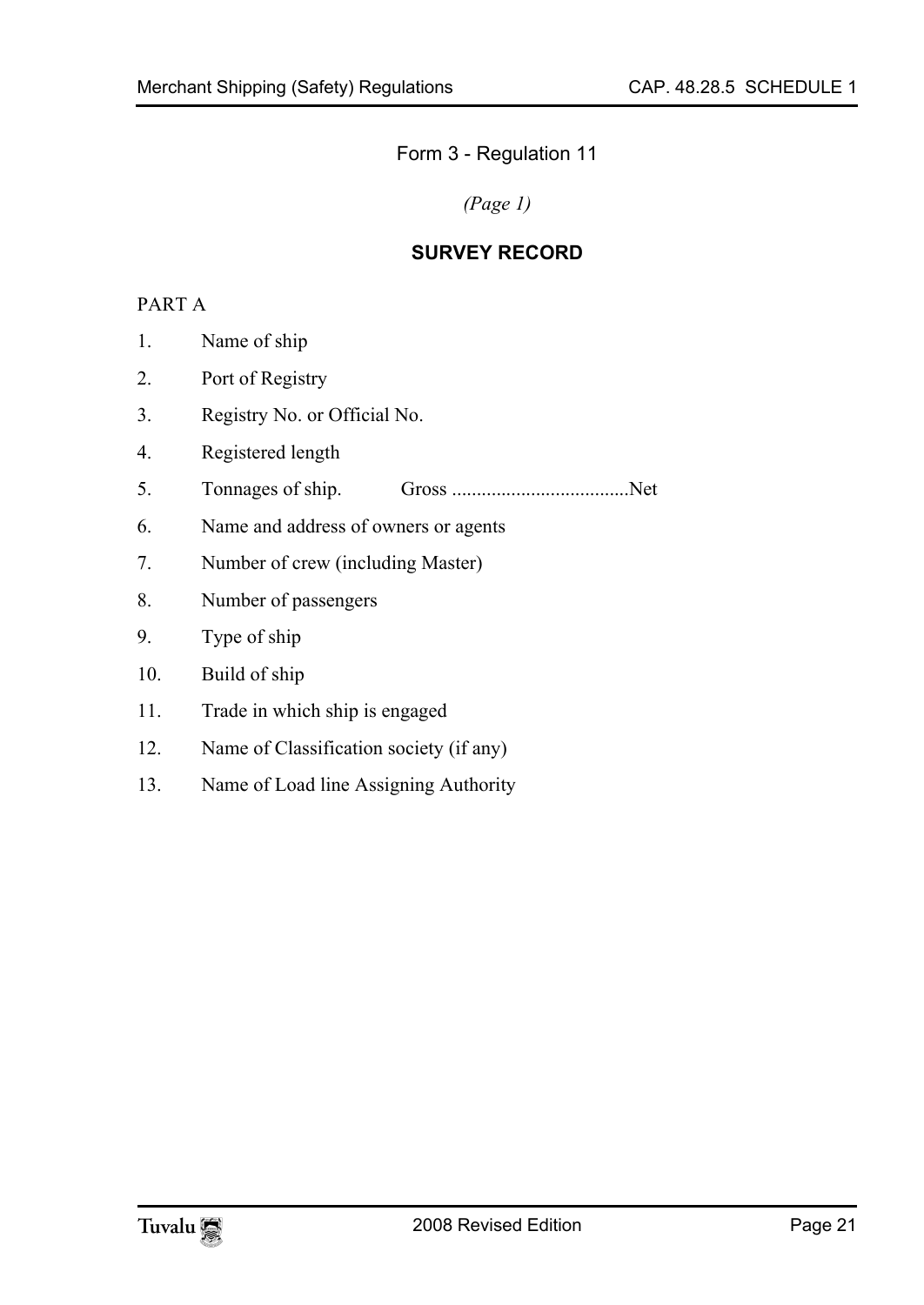Form 3 - Regulation 11

<span id="page-20-0"></span>*(Page 1)* 

### **SURVEY RECORD**

#### PART A

- 1. Name of ship
- 2. Port of Registry
- 3. Registry No. or Official No.
- 4. Registered length
- 5. Tonnages of ship. Gross ....................................Net
- 6. Name and address of owners or agents
- 7. Number of crew (including Master)
- 8. Number of passengers
- 9. Type of ship

#### 10. Build of ship

- 11. Trade in which ship is engaged
- 12. Name of Classification society (if any)
- 13. Name of Load line Assigning Authority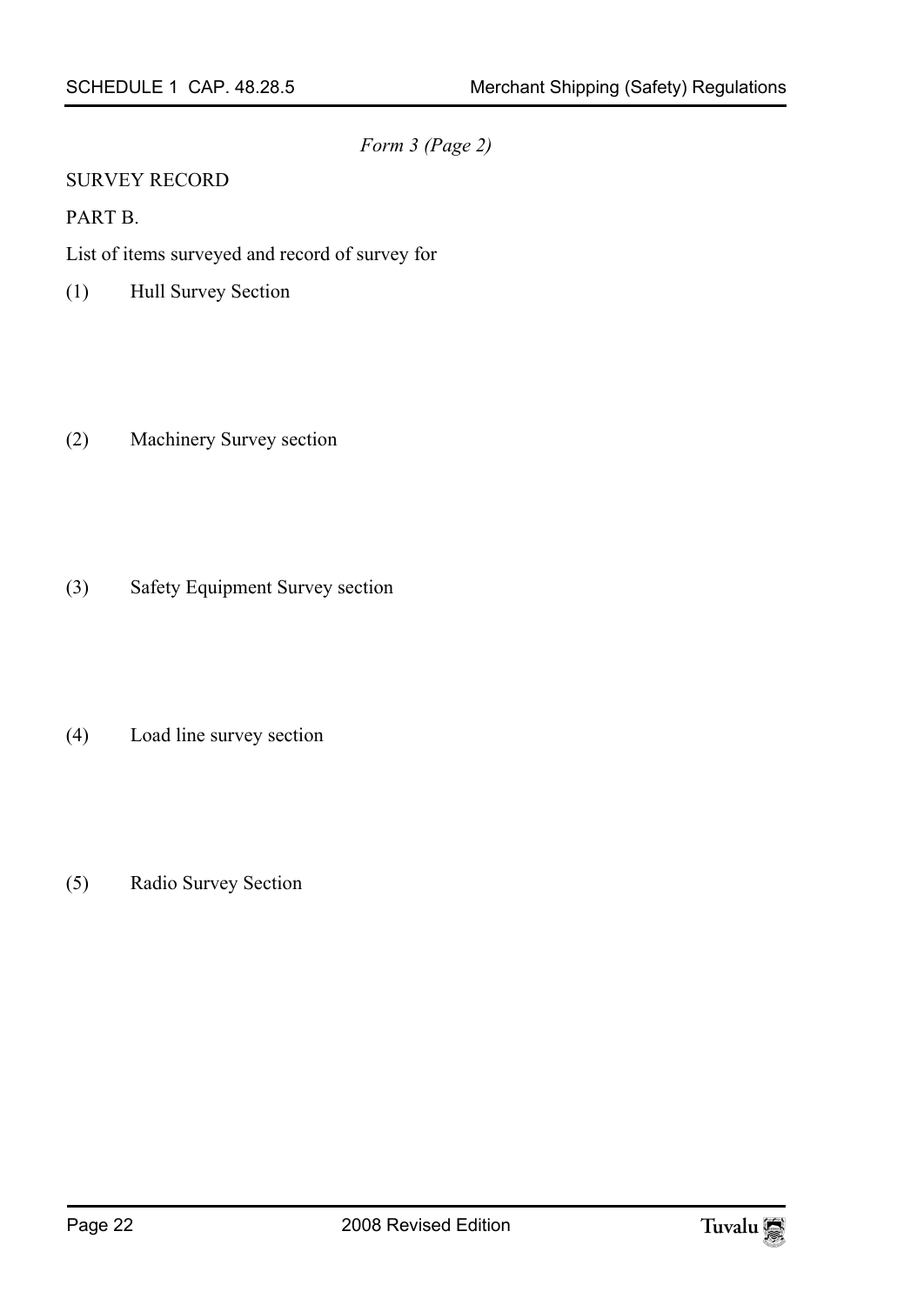*Form 3 (Page 2)* 

#### SURVEY RECORD

#### PART B.

List of items surveyed and record of survey for

- (1) Hull Survey Section
- (2) Machinery Survey section
- (3) Safety Equipment Survey section
- (4) Load line survey section
- (5) Radio Survey Section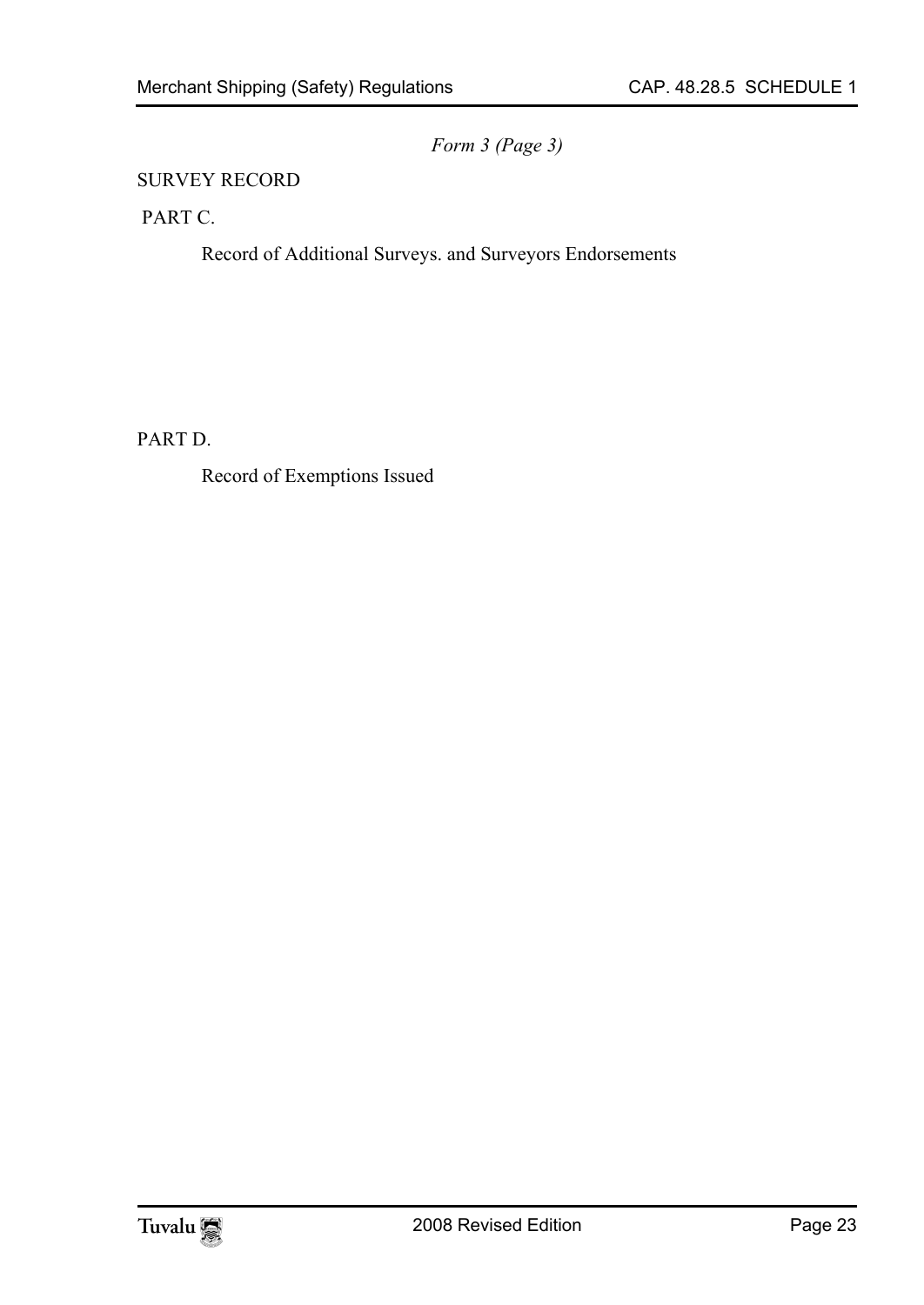*Form 3 (Page 3)* 

#### SURVEY RECORD

PART C.

Record of Additional Surveys. and Surveyors Endorsements

PART D.

Record of Exemptions Issued

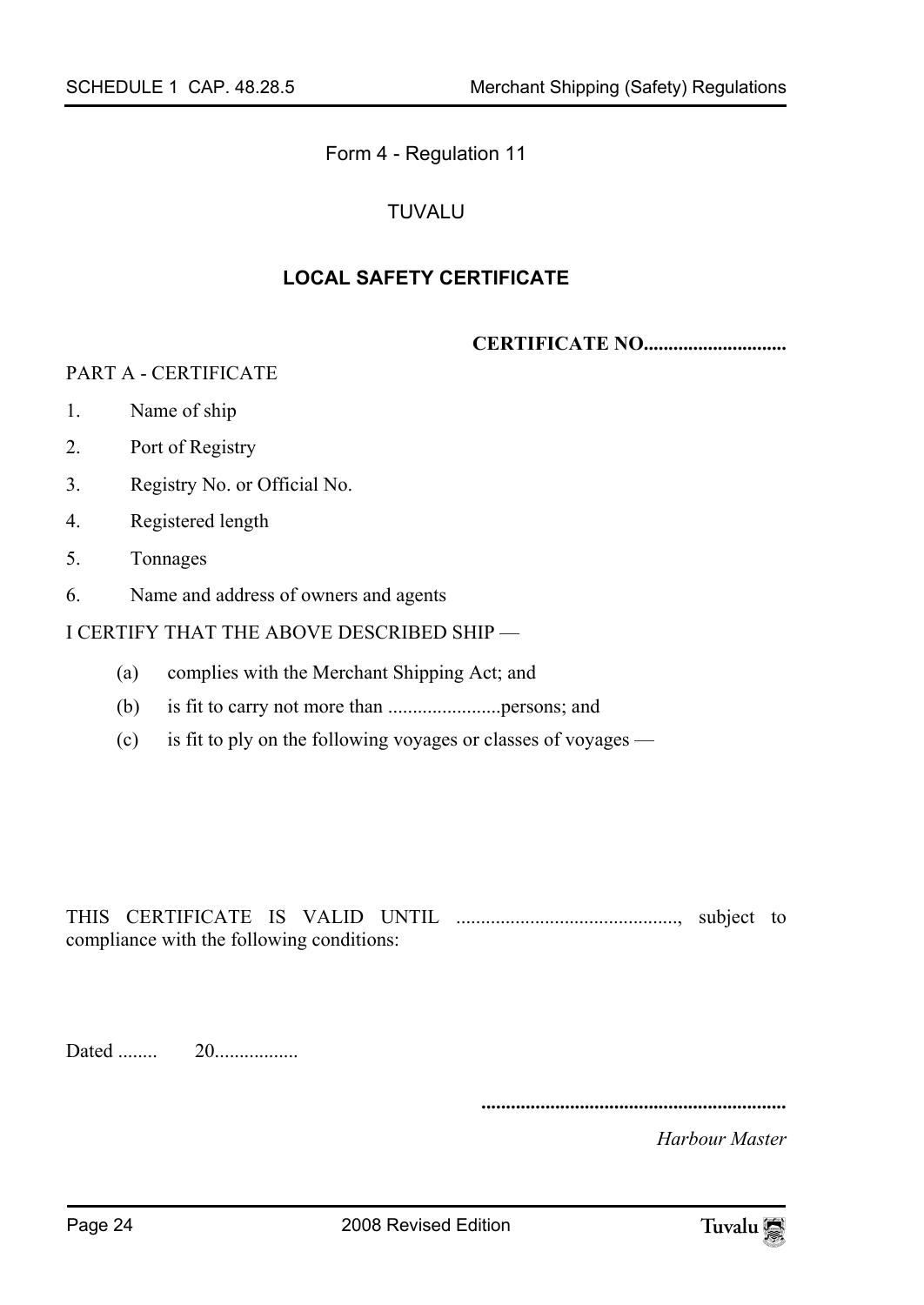Form 4 - Regulation 11

### <span id="page-23-0"></span>TUVALU

#### **LOCAL SAFETY CERTIFICATE**

**CERTIFICATE NO.............................** 

#### PART A - CERTIFICATE

- 1. Name of ship
- 2. Port of Registry
- 3. Registry No. or Official No.
- 4. Registered length
- 5. Tonnages
- 6. Name and address of owners and agents

#### I CERTIFY THAT THE ABOVE DESCRIBED SHIP —

- (a) complies with the Merchant Shipping Act; and
- (b) is fit to carry not more than .......................persons; and
- (c) is fit to ply on the following voyages or classes of voyages —

THIS CERTIFICATE IS VALID UNTIL ............................................., subject to compliance with the following conditions:

Dated ........ 20.................

**..............................................................** 

*Harbour Master*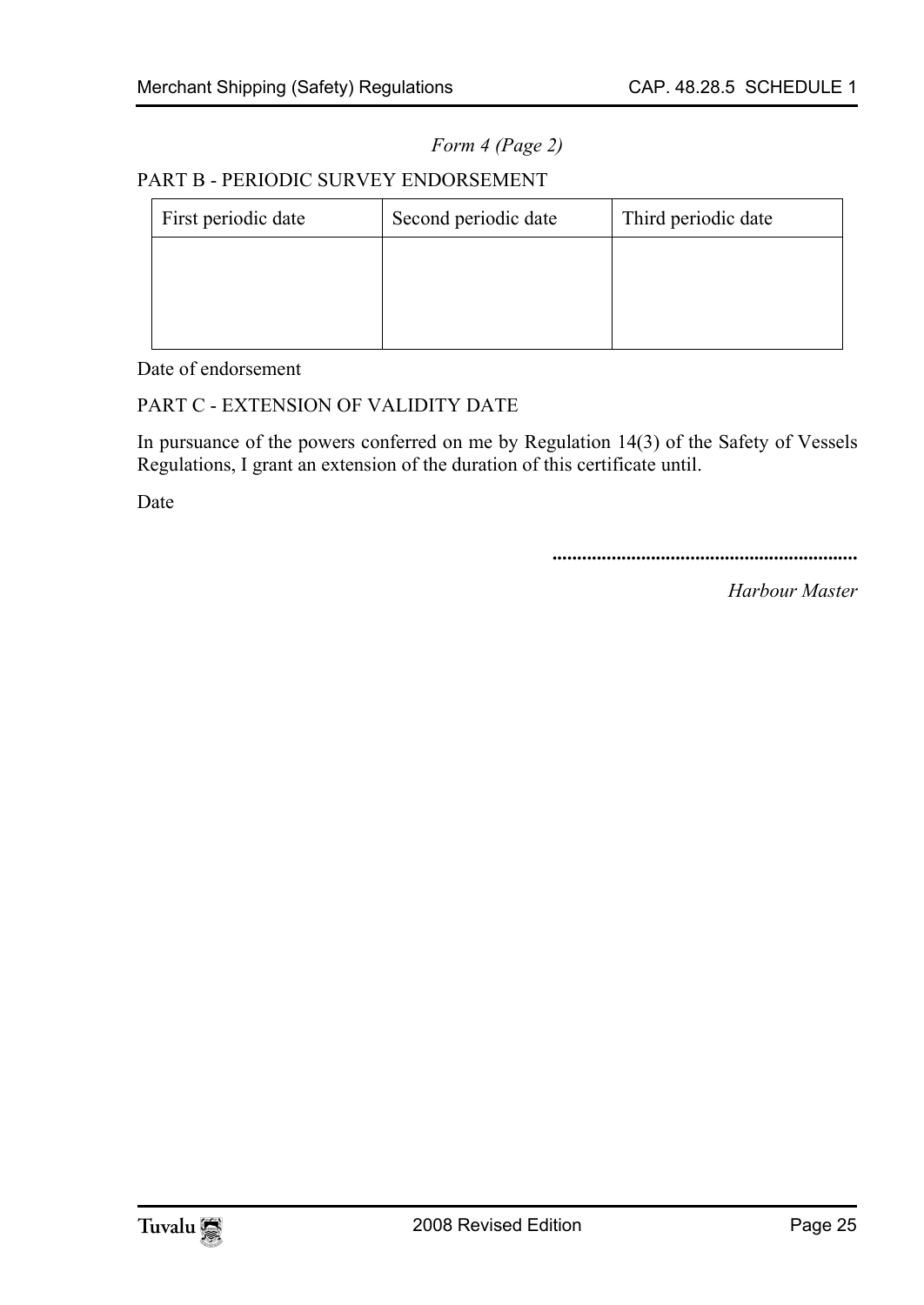*Form 4 (Page 2)* 

#### PART B - PERIODIC SURVEY ENDORSEMENT

| First periodic date | Second periodic date | Third periodic date |
|---------------------|----------------------|---------------------|
|                     |                      |                     |
|                     |                      |                     |
|                     |                      |                     |

Date of endorsement

#### PART C - EXTENSION OF VALIDITY DATE

In pursuance of the powers conferred on me by Regulation 14(3) of the Safety of Vessels Regulations, I grant an extension of the duration of this certificate until.

Date

**..............................................................** 

*Harbour Master* 

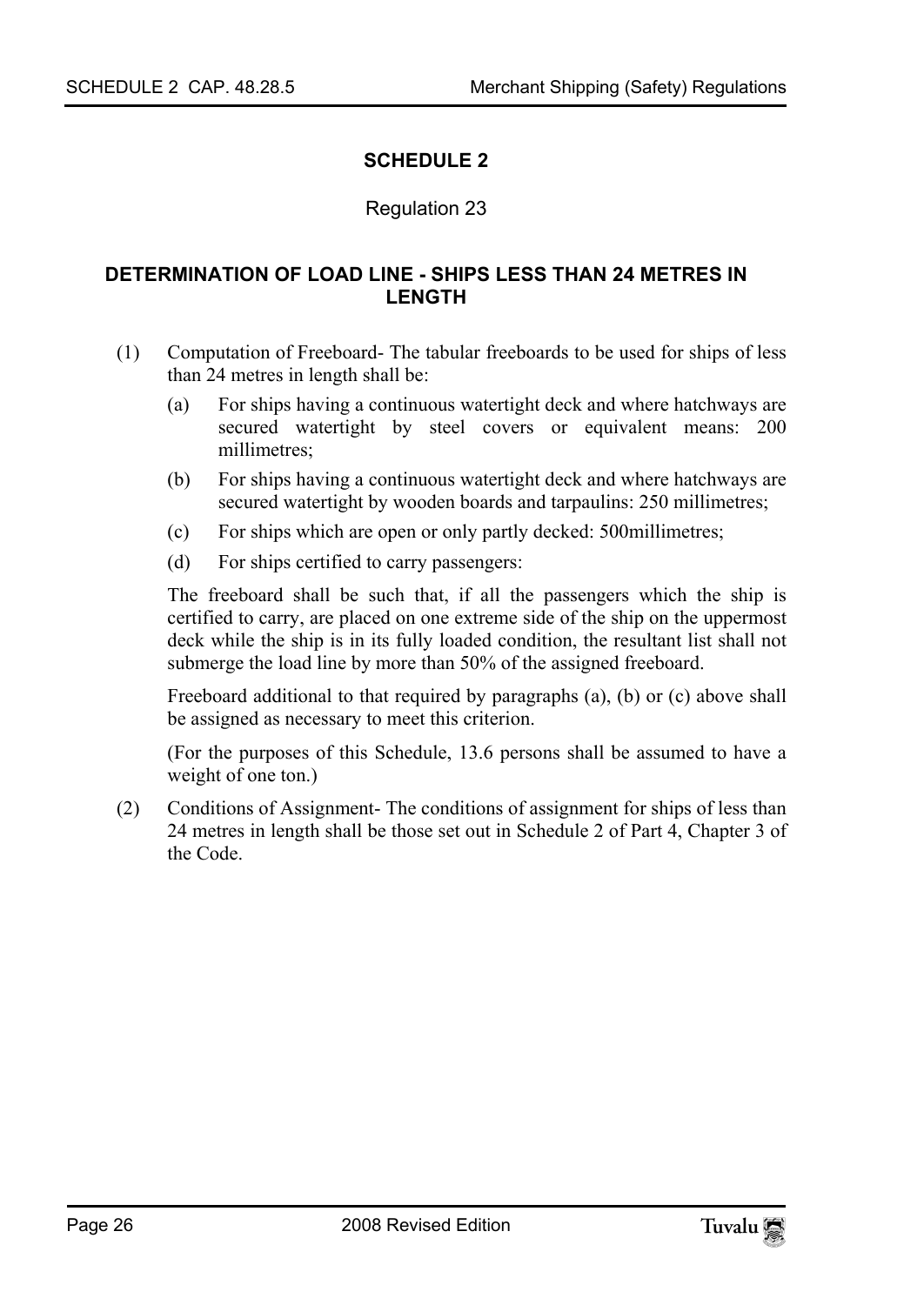#### <span id="page-25-1"></span><span id="page-25-0"></span>**SCHEDULE 2**

#### Regulation 23

#### **DETERMINATION OF LOAD LINE - SHIPS LESS THAN 24 METRES IN LENGTH**

- (1) Computation of Freeboard- The tabular freeboards to be used for ships of less than 24 metres in length shall be:
	- (a) For ships having a continuous watertight deck and where hatchways are secured watertight by steel covers or equivalent means: 200 millimetres;
	- (b) For ships having a continuous watertight deck and where hatchways are secured watertight by wooden boards and tarpaulins: 250 millimetres;
	- (c) For ships which are open or only partly decked: 500millimetres;
	- (d) For ships certified to carry passengers:

The freeboard shall be such that, if all the passengers which the ship is certified to carry, are placed on one extreme side of the ship on the uppermost deck while the ship is in its fully loaded condition, the resultant list shall not submerge the load line by more than 50% of the assigned freeboard.

Freeboard additional to that required by paragraphs (a), (b) or (c) above shall be assigned as necessary to meet this criterion.

(For the purposes of this Schedule, 13.6 persons shall be assumed to have a weight of one ton.)

(2) Conditions of Assignment- The conditions of assignment for ships of less than 24 metres in length shall be those set out in Schedule 2 of Part 4, Chapter 3 of the Code.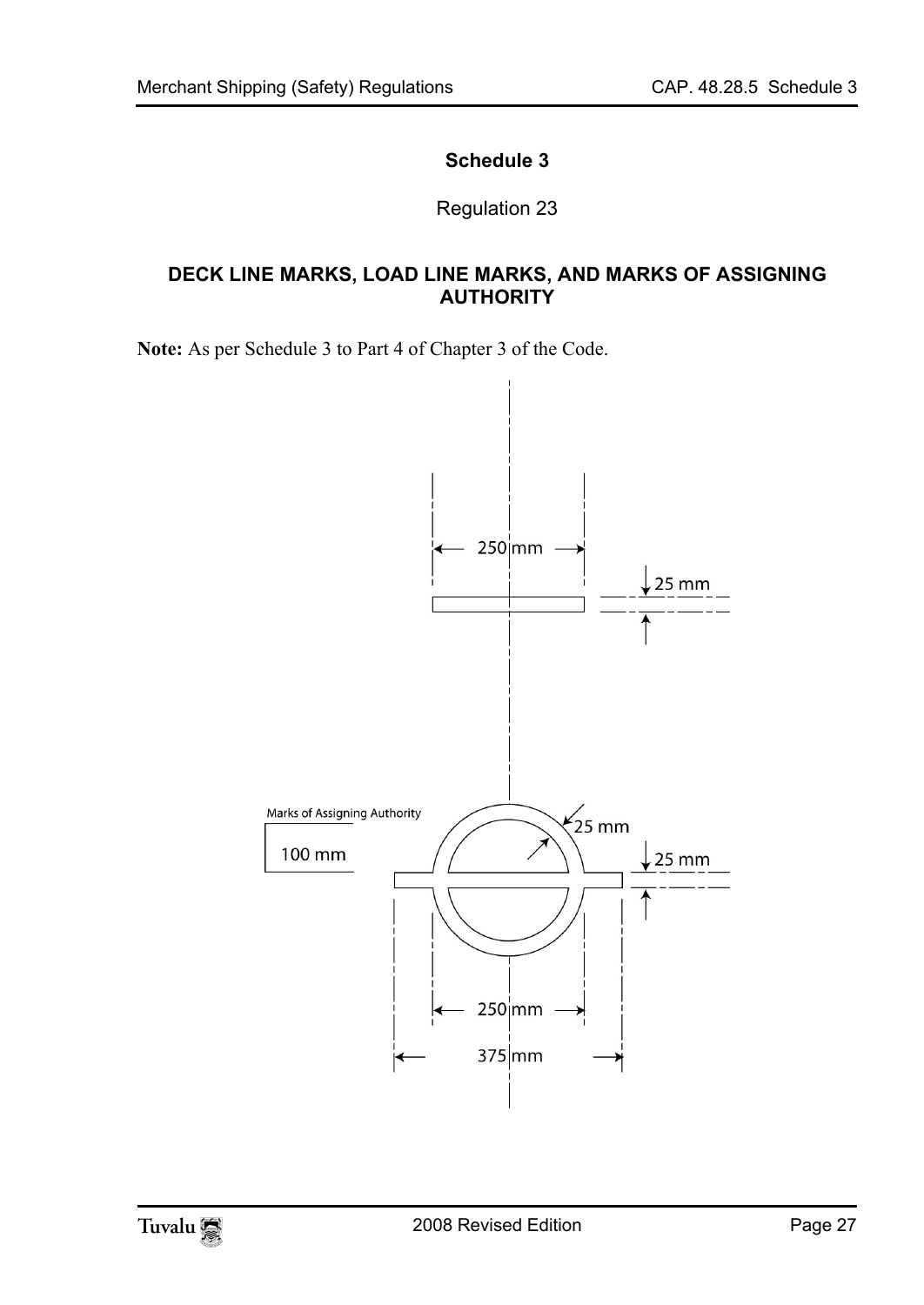### <span id="page-26-0"></span>**Schedule 3**

Regulation 23

#### **DECK LINE MARKS, LOAD LINE MARKS, AND MARKS OF ASSIGNING AUTHORITY**

**Note:** As per Schedule 3 to Part 4 of Chapter 3 of the Code.



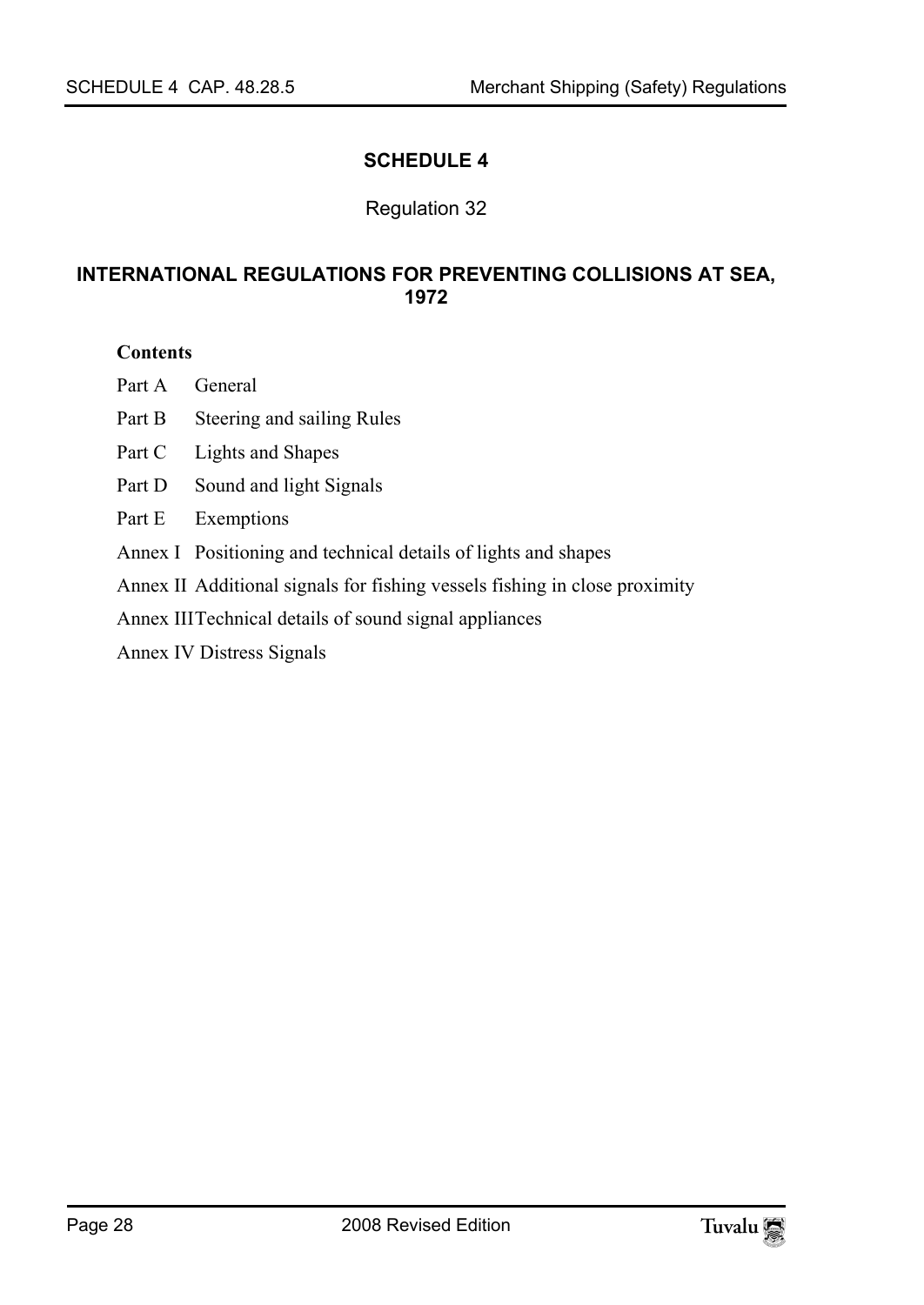#### <span id="page-27-0"></span>**SCHEDULE 4**

#### Regulation 32

#### <span id="page-27-1"></span>**INTERNATIONAL REGULATIONS FOR PREVENTING COLLISIONS AT SEA, 1972**

#### **Contents**

Part A General

- Part B Steering and sailing Rules
- Part C Lights and Shapes
- Part D Sound and light Signals
- Part E Exemptions
- Annex I Positioning and technical details of lights and shapes
- Annex II Additional signals for fishing vessels fishing in close proximity
- Annex III Technical details of sound signal appliances

Annex IV Distress Signals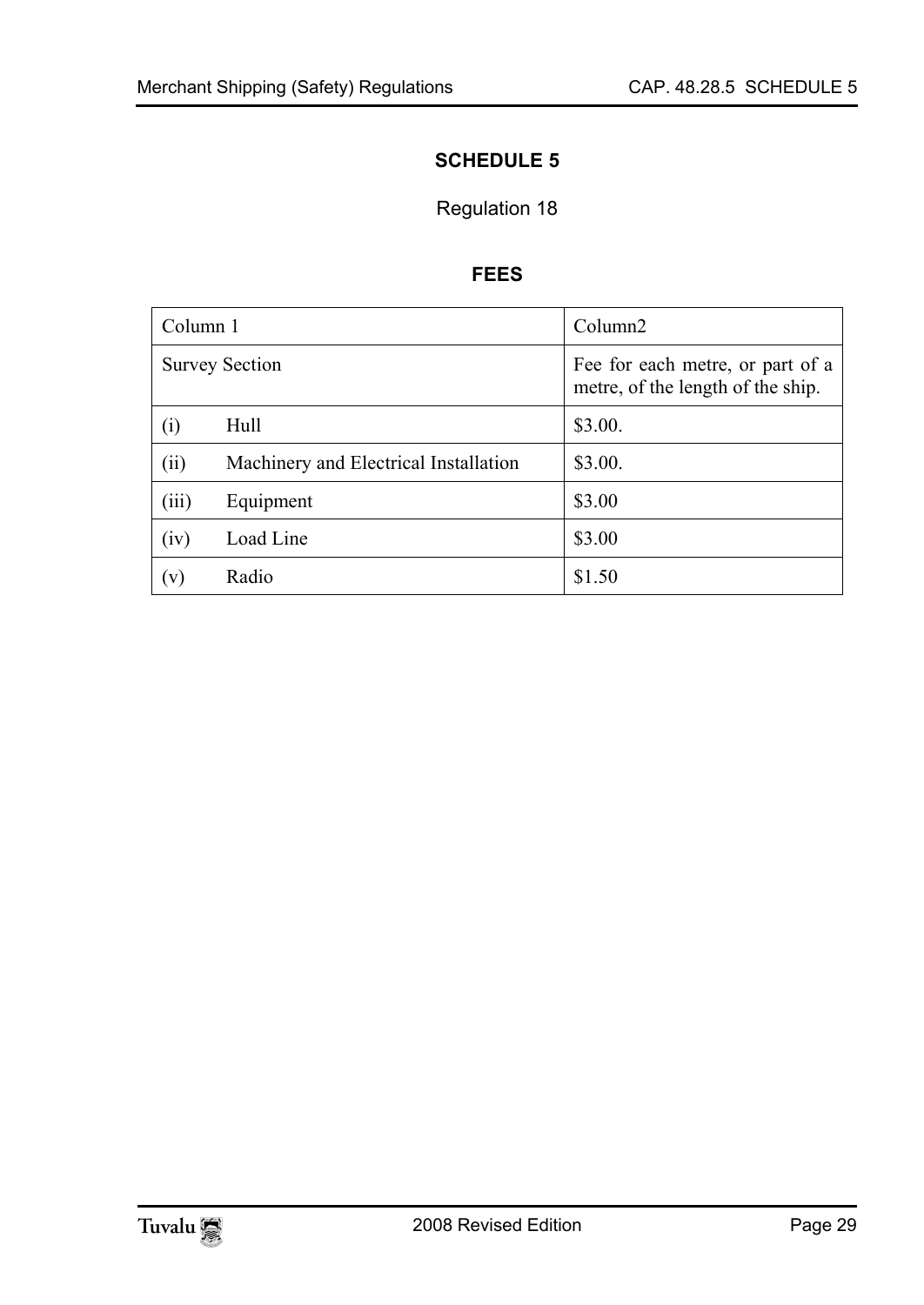### <span id="page-28-1"></span><span id="page-28-0"></span>**SCHEDULE 5**

### Regulation 18

#### **FEES**

| Column 1 |                                       | Column <sub>2</sub>                                                   |
|----------|---------------------------------------|-----------------------------------------------------------------------|
|          | <b>Survey Section</b>                 | Fee for each metre, or part of a<br>metre, of the length of the ship. |
| (i)      | Hull                                  | \$3.00.                                                               |
| (ii)     | Machinery and Electrical Installation | \$3.00.                                                               |
| (iii)    | Equipment                             | \$3.00                                                                |
| (iv)     | Load Line                             | \$3.00                                                                |
| (v)      | Radio                                 | \$1.50                                                                |